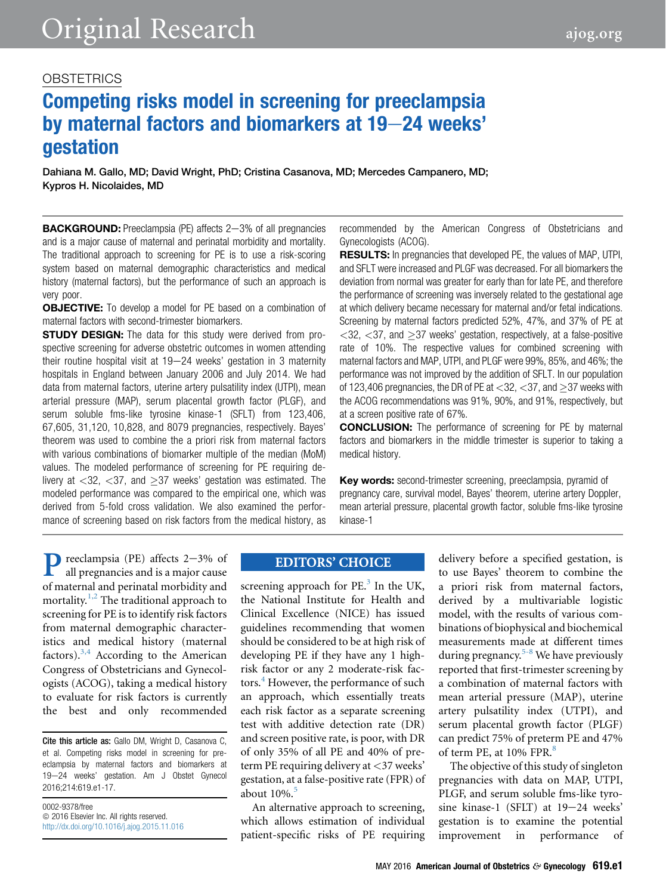# Competing risks model in screening for preeclampsia by maternal factors and biomarkers at 19-24 weeks' gestation

Dahiana M. Gallo, MD; David Wright, PhD; Cristina Casanova, MD; Mercedes Campanero, MD; Kypros H. Nicolaides, MD

BACKGROUND: Preeclampsia (PE) affects 2-3% of all pregnancies and is a major cause of maternal and perinatal morbidity and mortality. The traditional approach to screening for PE is to use a risk-scoring system based on maternal demographic characteristics and medical history (maternal factors), but the performance of such an approach is very poor.

**OBJECTIVE:** To develop a model for PE based on a combination of maternal factors with second-trimester biomarkers.

**STUDY DESIGN:** The data for this study were derived from prospective screening for adverse obstetric outcomes in women attending their routine hospital visit at  $19-24$  weeks' gestation in 3 maternity hospitals in England between January 2006 and July 2014. We had data from maternal factors, uterine artery pulsatility index (UTPI), mean arterial pressure (MAP), serum placental growth factor (PLGF), and serum soluble fms-like tyrosine kinase-1 (SFLT) from 123,406, 67,605, 31,120, 10,828, and 8079 pregnancies, respectively. Bayes' theorem was used to combine the a priori risk from maternal factors with various combinations of biomarker multiple of the median (MoM) values. The modeled performance of screening for PE requiring delivery at  $\langle 32, \langle 37, \rangle$  and  $\langle 37, \rangle$  weeks' gestation was estimated. The modeled performance was compared to the empirical one, which was derived from 5-fold cross validation. We also examined the performance of screening based on risk factors from the medical history, as recommended by the American Congress of Obstetricians and Gynecologists (ACOG).

RESULTS: In pregnancies that developed PE, the values of MAP, UTPI, and SFLT were increased and PLGF was decreased. For all biomarkers the deviation from normal was greater for early than for late PE, and therefore the performance of screening was inversely related to the gestational age at which delivery became necessary for maternal and/or fetal indications. Screening by maternal factors predicted 52%, 47%, and 37% of PE at  $<$ 32,  $<$ 37, and  $\geq$ 37 weeks' gestation, respectively, at a false-positive rate of 10%. The respective values for combined screening with maternal factors and MAP, UTPI, and PLGF were 99%, 85%, and 46%; the performance was not improved by the addition of SFLT. In our population of 123,406 pregnancies, the DR of PE at  $<$ 32,  $<$ 37, and  $>$ 37 weeks with the ACOG recommendations was 91%, 90%, and 91%, respectively, but at a screen positive rate of 67%.

CONCLUSION: The performance of screening for PE by maternal factors and biomarkers in the middle trimester is superior to taking a medical history.

Key words: second-trimester screening, preeclampsia, pyramid of pregnancy care, survival model, Bayes' theorem, uterine artery Doppler, mean arterial pressure, placental growth factor, soluble fms-like tyrosine kinase-1

**P** reeclampsia (PE) affects 2-3% of all pregnancies and is a major cause of maternal and perinatal morbidity and mortality.<sup>[1,2](#page-9-0)</sup> The traditional approach to all pregnancies and is a major cause of maternal and perinatal morbidity and screening for PE is to identify risk factors from maternal demographic characteristics and medical history (maternal factors). $3,4$  According to the American Congress of Obstetricians and Gynecologists (ACOG), taking a medical history to evaluate for risk factors is currently the best and only recommended

Cite this article as: Gallo DM, Wright D, Casanova C, et al. Competing risks model in screening for preeclampsia by maternal factors and biomarkers at 19-24 weeks' gestation. Am J Obstet Gynecol 2016;214:619.e1-17.

0002-9378/free  $© 2016 Elsevier Inc. All rights reserved.$ <http://dx.doi.org/10.1016/j.ajog.2015.11.016>

# **EDITORS' CHOICE**

screening approach for  $PE^3$  $PE^3$ . In the UK, the National Institute for Health and Clinical Excellence (NICE) has issued guidelines recommending that women should be considered to be at high risk of developing PE if they have any 1 highrisk factor or any 2 moderate-risk fac-tors.<sup>[4](#page-9-0)</sup> However, the performance of such an approach, which essentially treats each risk factor as a separate screening test with additive detection rate (DR) and screen positive rate, is poor, with DR of only 35% of all PE and 40% of preterm PE requiring delivery at <37 weeks' gestation, at a false-positive rate (FPR) of about  $10\%$ .<sup>[5](#page-9-0)</sup>

An alternative approach to screening, which allows estimation of individual patient-specific risks of PE requiring

delivery before a specified gestation, is to use Bayes' theorem to combine the a priori risk from maternal factors, derived by a multivariable logistic model, with the results of various combinations of biophysical and biochemical measurements made at different times during pregnancy. $5-8$  We have previously reported that first-trimester screening by a combination of maternal factors with mean arterial pressure (MAP), uterine artery pulsatility index (UTPI), and serum placental growth factor (PLGF) can predict 75% of preterm PE and 47% of term PE, at 10% FPR.<sup>[8](#page-9-0)</sup>

The objective of this study of singleton pregnancies with data on MAP, UTPI, PLGF, and serum soluble fms-like tyrosine kinase-1 (SFLT) at  $19-24$  weeks' gestation is to examine the potential improvement in performance of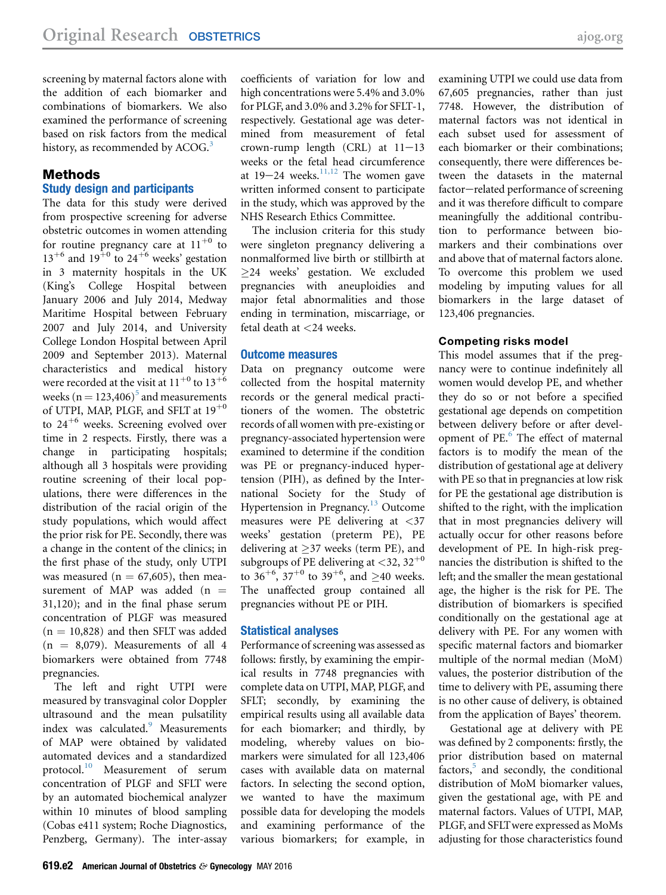screening by maternal factors alone with the addition of each biomarker and combinations of biomarkers. We also examined the performance of screening based on risk factors from the medical history, as recommended by ACOG.<sup>[3](#page-9-0)</sup>

## Methods

## Study design and participants

The data for this study were derived from prospective screening for adverse obstetric outcomes in women attending for routine pregnancy care at  $11^{+0}$  to  $13^{+6}$  and  $19^{+0}$  to  $24^{+6}$  weeks' gestation in 3 maternity hospitals in the UK (King's College Hospital between January 2006 and July 2014, Medway Maritime Hospital between February 2007 and July 2014, and University College London Hospital between April 2009 and September 2013). Maternal characteristics and medical history were recorded at the visit at  $11^{+0}$  to  $13^{+6}$ weeks ( $n = 123,406$ )<sup>[5](#page-9-0)</sup> and measurements of UTPI, MAP, PLGF, and SFLT at  $19^{+0}$ to  $24^{+6}$  weeks. Screening evolved over time in 2 respects. Firstly, there was a change in participating hospitals; although all 3 hospitals were providing routine screening of their local populations, there were differences in the distribution of the racial origin of the study populations, which would affect the prior risk for PE. Secondly, there was a change in the content of the clinics; in the first phase of the study, only UTPI was measured ( $n = 67,605$ ), then measurement of MAP was added (n  $=$ 31,120); and in the final phase serum concentration of PLGF was measured  $(n = 10,828)$  and then SFLT was added  $(n = 8,079)$ . Measurements of all 4 biomarkers were obtained from 7748 pregnancies.

The left and right UTPI were measured by transvaginal color Doppler ultrasound and the mean pulsatility index was calculated.<sup>[9](#page-9-0)</sup> Measurements of MAP were obtained by validated automated devices and a standardized protocol.<sup>[10](#page-9-0)</sup> Measurement of serum concentration of PLGF and SFLT were by an automated biochemical analyzer within 10 minutes of blood sampling (Cobas e411 system; Roche Diagnostics, Penzberg, Germany). The inter-assay coefficients of variation for low and high concentrations were 5.4% and 3.0% for PLGF, and 3.0% and 3.2% for SFLT-1, respectively. Gestational age was determined from measurement of fetal crown-rump length (CRL) at  $11-13$ weeks or the fetal head circumference at  $19-24$  weeks.<sup>[11,12](#page-9-0)</sup> The women gave written informed consent to participate in the study, which was approved by the NHS Research Ethics Committee.

The inclusion criteria for this study were singleton pregnancy delivering a nonmalformed live birth or stillbirth at 24 weeks' gestation. We excluded pregnancies with aneuploidies and major fetal abnormalities and those ending in termination, miscarriage, or fetal death at <24 weeks.

#### Outcome measures

Data on pregnancy outcome were collected from the hospital maternity records or the general medical practitioners of the women. The obstetric records of all women with pre-existing or pregnancy-associated hypertension were examined to determine if the condition was PE or pregnancy-induced hypertension (PIH), as defined by the International Society for the Study of Hypertension in Pregnancy.<sup>[13](#page-9-0)</sup> Outcome measures were PE delivering at <37 weeks' gestation (preterm PE), PE delivering at  $>37$  weeks (term PE), and subgroups of PE delivering at  $\langle 32, 32^{+0} \rangle$ to  $36^{+6}$ ,  $37^{+0}$  to  $39^{+6}$ , and  $\geq$ 40 weeks. The unaffected group contained all pregnancies without PE or PIH.

#### Statistical analyses

Performance of screening was assessed as follows: firstly, by examining the empirical results in 7748 pregnancies with complete data on UTPI, MAP, PLGF, and SFLT; secondly, by examining the empirical results using all available data for each biomarker; and thirdly, by modeling, whereby values on biomarkers were simulated for all 123,406 cases with available data on maternal factors. In selecting the second option, we wanted to have the maximum possible data for developing the models and examining performance of the various biomarkers; for example, in

examining UTPI we could use data from 67,605 pregnancies, rather than just 7748. However, the distribution of maternal factors was not identical in each subset used for assessment of each biomarker or their combinations; consequently, there were differences between the datasets in the maternal factor-related performance of screening and it was therefore difficult to compare meaningfully the additional contribution to performance between biomarkers and their combinations over and above that of maternal factors alone. To overcome this problem we used modeling by imputing values for all biomarkers in the large dataset of 123,406 pregnancies.

#### Competing risks model

This model assumes that if the pregnancy were to continue indefinitely all women would develop PE, and whether they do so or not before a specified gestational age depends on competition between delivery before or after devel-opment of PE.<sup>[6](#page-9-0)</sup> The effect of maternal factors is to modify the mean of the distribution of gestational age at delivery with PE so that in pregnancies at low risk for PE the gestational age distribution is shifted to the right, with the implication that in most pregnancies delivery will actually occur for other reasons before development of PE. In high-risk pregnancies the distribution is shifted to the left; and the smaller the mean gestational age, the higher is the risk for PE. The distribution of biomarkers is specified conditionally on the gestational age at delivery with PE. For any women with specific maternal factors and biomarker multiple of the normal median (MoM) values, the posterior distribution of the time to delivery with PE, assuming there is no other cause of delivery, is obtained from the application of Bayes' theorem.

Gestational age at delivery with PE was defined by 2 components: firstly, the prior distribution based on maternal factors, $5$  and secondly, the conditional distribution of MoM biomarker values, given the gestational age, with PE and maternal factors. Values of UTPI, MAP, PLGF, and SFLTwere expressed as MoMs adjusting for those characteristics found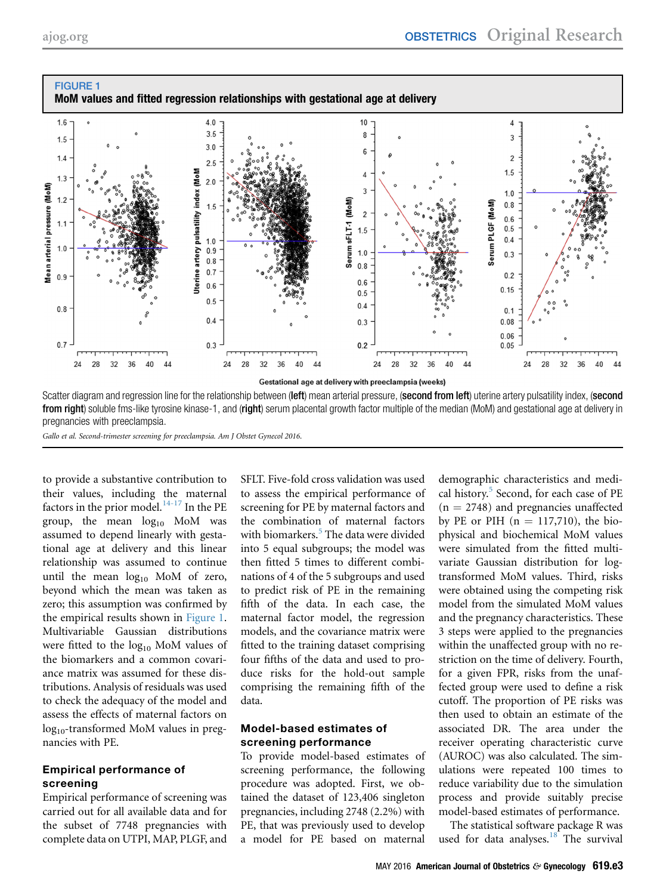<span id="page-2-0"></span>

from right) soluble fms-like tyrosine kinase-1, and (right) serum placental growth factor multiple of the median (MoM) and gestational age at delivery in pregnancies with preeclampsia.

Gallo et al. Second-trimester screening for preeclampsia. Am J Obstet Gynecol 2016.

to provide a substantive contribution to their values, including the maternal factors in the prior model. $14-17$  In the PE group, the mean  $log_{10}$  MoM was assumed to depend linearly with gestational age at delivery and this linear relationship was assumed to continue until the mean  $log_{10}$  MoM of zero, beyond which the mean was taken as zero; this assumption was confirmed by the empirical results shown in Figure 1. Multivariable Gaussian distributions were fitted to the  $log_{10}$  MoM values of the biomarkers and a common covariance matrix was assumed for these distributions. Analysis of residuals was used to check the adequacy of the model and assess the effects of maternal factors on log<sub>10</sub>-transformed MoM values in pregnancies with PE.

## Empirical performance of screening

Empirical performance of screening was carried out for all available data and for the subset of 7748 pregnancies with complete data on UTPI, MAP, PLGF, and SFLT. Five-fold cross validation was used to assess the empirical performance of screening for PE by maternal factors and the combination of maternal factors with biomarkers.<sup>[5](#page-9-0)</sup> The data were divided into 5 equal subgroups; the model was then fitted 5 times to different combinations of 4 of the 5 subgroups and used to predict risk of PE in the remaining fifth of the data. In each case, the maternal factor model, the regression models, and the covariance matrix were fitted to the training dataset comprising four fifths of the data and used to produce risks for the hold-out sample comprising the remaining fifth of the data.

## Model-based estimates of screening performance

To provide model-based estimates of screening performance, the following procedure was adopted. First, we obtained the dataset of 123,406 singleton pregnancies, including 2748 (2.2%) with PE, that was previously used to develop a model for PE based on maternal

demographic characteristics and medi-cal history.<sup>[5](#page-9-0)</sup> Second, for each case of PE  $(n = 2748)$  and pregnancies unaffected by PE or PIH  $(n = 117,710)$ , the biophysical and biochemical MoM values were simulated from the fitted multivariate Gaussian distribution for logtransformed MoM values. Third, risks were obtained using the competing risk model from the simulated MoM values and the pregnancy characteristics. These 3 steps were applied to the pregnancies within the unaffected group with no restriction on the time of delivery. Fourth, for a given FPR, risks from the unaffected group were used to define a risk cutoff. The proportion of PE risks was then used to obtain an estimate of the associated DR. The area under the receiver operating characteristic curve (AUROC) was also calculated. The simulations were repeated 100 times to reduce variability due to the simulation process and provide suitably precise model-based estimates of performance.

The statistical software package R was used for data analyses.<sup>18</sup> The survival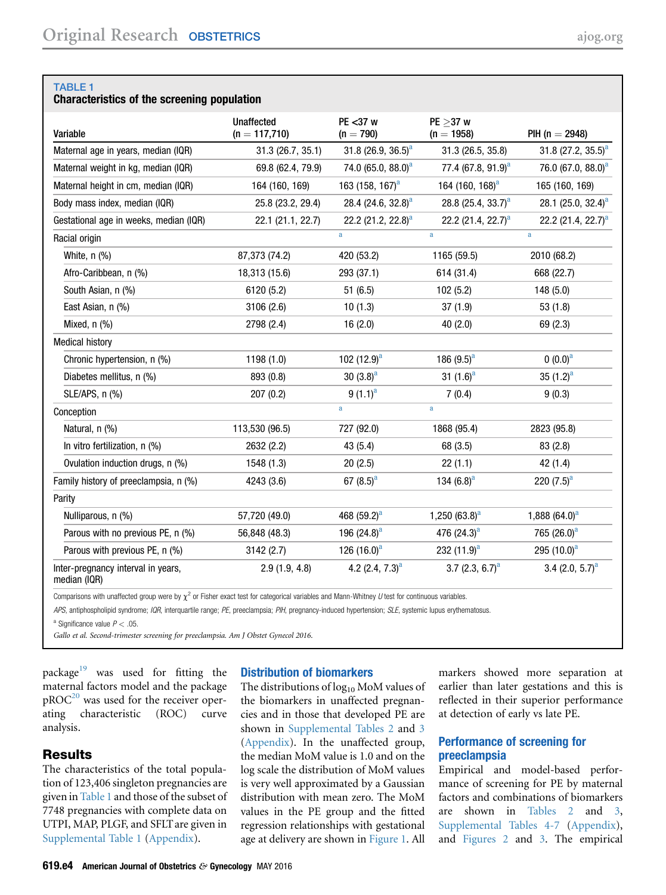# Characteristics of the screening population

| Variable                                           | <b>Unaffected</b><br>$(n = 117,710)$ | $PE < 37$ w<br>$(n = 790)$     | $PE > 37$ w<br>$(n = 1958)$    | PIH ( $n = 2948$ )             |
|----------------------------------------------------|--------------------------------------|--------------------------------|--------------------------------|--------------------------------|
| Maternal age in years, median (IQR)                | 31.3(26.7, 35.1)                     | 31.8 (26.9, 36.5) <sup>a</sup> | 31.3 (26.5, 35.8)              | 31.8 (27.2, 35.5) <sup>a</sup> |
| Maternal weight in kg, median (IQR)                | 69.8 (62.4, 79.9)                    | 74.0 (65.0, 88.0) <sup>a</sup> | 77.4 (67.8, 91.9) <sup>a</sup> | 76.0 (67.0, 88.0) <sup>a</sup> |
| Maternal height in cm, median (IQR)                | 164 (160, 169)                       | 163 (158, 167) <sup>a</sup>    | 164 (160, 168) <sup>a</sup>    | 165 (160, 169)                 |
| Body mass index, median (IQR)                      | 25.8 (23.2, 29.4)                    | 28.4 (24.6, 32.8) <sup>a</sup> | 28.8 (25.4, 33.7) <sup>a</sup> | 28.1 (25.0, 32.4) <sup>a</sup> |
| Gestational age in weeks, median (IQR)             | 22.1 (21.1, 22.7)                    | 22.2 (21.2, 22.8) <sup>a</sup> | 22.2 $(21.4, 22.7)^a$          | 22.2 (21.4, 22.7) <sup>a</sup> |
| Racial origin                                      |                                      | a                              | a                              | a                              |
| White, $n$ $\left(\frac{9}{6}\right)$              | 87,373 (74.2)                        | 420 (53.2)                     | 1165 (59.5)                    | 2010 (68.2)                    |
| Afro-Caribbean, n (%)                              | 18,313 (15.6)                        | 293 (37.1)                     | 614 (31.4)                     | 668 (22.7)                     |
| South Asian, n (%)                                 | 6120 (5.2)                           | 51(6.5)                        | 102(5.2)                       | 148 (5.0)                      |
| East Asian, n (%)                                  | 3106 (2.6)                           | 10(1.3)                        | 37(1.9)                        | 53(1.8)                        |
| Mixed, $n$ $(\%)$                                  | 2798 (2.4)                           | 16(2.0)                        | 40(2.0)                        | 69(2.3)                        |
| <b>Medical history</b>                             |                                      |                                |                                |                                |
| Chronic hypertension, n (%)                        | 1198 (1.0)                           | 102 $(12.9)^a$                 | 186 $(9.5)^a$                  | $(0.0)^a$                      |
| Diabetes mellitus, n (%)                           | 893 (0.8)                            | 30 $(3.8)^a$                   | 31 $(1.6)^a$                   | 35 $(1.2)^{a}$                 |
| $SLE/APS, n$ $(\%)$                                | 207(0.2)                             | $9(1.1)^a$                     | 7(0.4)                         | 9(0.3)                         |
| Conception                                         |                                      | a                              | a                              |                                |
| Natural, n (%)                                     | 113,530 (96.5)                       | 727 (92.0)                     | 1868 (95.4)                    | 2823 (95.8)                    |
| In vitro fertilization, n (%)                      | 2632 (2.2)                           | 43 (5.4)                       | 68 (3.5)                       | 83(2.8)                        |
| Ovulation induction drugs, n (%)                   | 1548 (1.3)                           | 20(2.5)                        | 22(1.1)                        | 42 (1.4)                       |
| Family history of preeclampsia, n (%)              | 4243 (3.6)                           | 67 $(8.5)^{a}$                 | 134 $(6.8)^a$                  | 220 $(7.5)^a$                  |
| Parity                                             |                                      |                                |                                |                                |
| Nulliparous, n (%)                                 | 57,720 (49.0)                        | 468 $(59.2)^a$                 | 1,250 $(63.8)^a$               | 1,888 $(64.0)^a$               |
| Parous with no previous PE, n (%)                  | 56,848 (48.3)                        | 196 $(24.8)^a$                 | 476 $(24.3)^a$                 | 765 $(26.0)^a$                 |
| Parous with previous PE, n (%)                     | 3142 (2.7)                           | 126 $(16.0)^a$                 | 232 $(11.9)^a$                 | 295 $(10.0)^a$                 |
| Inter-pregnancy interval in years,<br>median (IQR) | 2.9(1.9, 4.8)                        | 4.2 $(2.4, 7.3)^a$             | 3.7 (2.3, 6.7) <sup>a</sup>    | 3.4 $(2.0, 5.7)^a$             |

Comparisons with unaffected group were by  $\chi^2$  or Fisher exact test for categorical variables and Mann-Whitney U test for continuous variables.

APS, antiphospholipid syndrome; IQR, interquartile range; PE, preeclampsia; PIH, pregnancy-induced hypertension; SLE, systemic lupus erythematosus.

<sup>a</sup> Significance value  $P < .05$ .

Gallo et al. Second-trimester screening for preeclampsia. Am J Obstet Gynecol 2016.

package<sup>[19](#page-9-0)</sup> was used for fitting the maternal factors model and the package  $pROC<sup>20</sup>$  $pROC<sup>20</sup>$  $pROC<sup>20</sup>$  was used for the receiver operating characteristic (ROC) curve analysis.

## **Results**

The characteristics of the total population of 123,406 singleton pregnancies are given in Table 1 and those of the subset of 7748 pregnancies with complete data on UTPI, MAP, PLGF, and SFLT are given in [Supplemental Table 1](#page-11-0) (Appendix).

## Distribution of biomarkers

The distributions of  $log_{10}$  MoM values of the biomarkers in unaffected pregnancies and in those that developed PE are shown in [Supplemental Tables 2](#page-12-0) and [3](#page-12-0) (Appendix). In the unaffected group, the median MoM value is 1.0 and on the log scale the distribution of MoM values is very well approximated by a Gaussian distribution with mean zero. The MoM values in the PE group and the fitted regression relationships with gestational age at delivery are shown in [Figure 1.](#page-2-0) All

markers showed more separation at earlier than later gestations and this is reflected in their superior performance at detection of early vs late PE.

# Performance of screening for preeclampsia

Empirical and model-based performance of screening for PE by maternal factors and combinations of biomarkers are shown in [Tables 2](#page-4-0) and [3,](#page-5-0) [Supplemental Tables 4-7](#page-13-0) (Appendix), and [Figures 2](#page-6-0) and [3.](#page-6-0) The empirical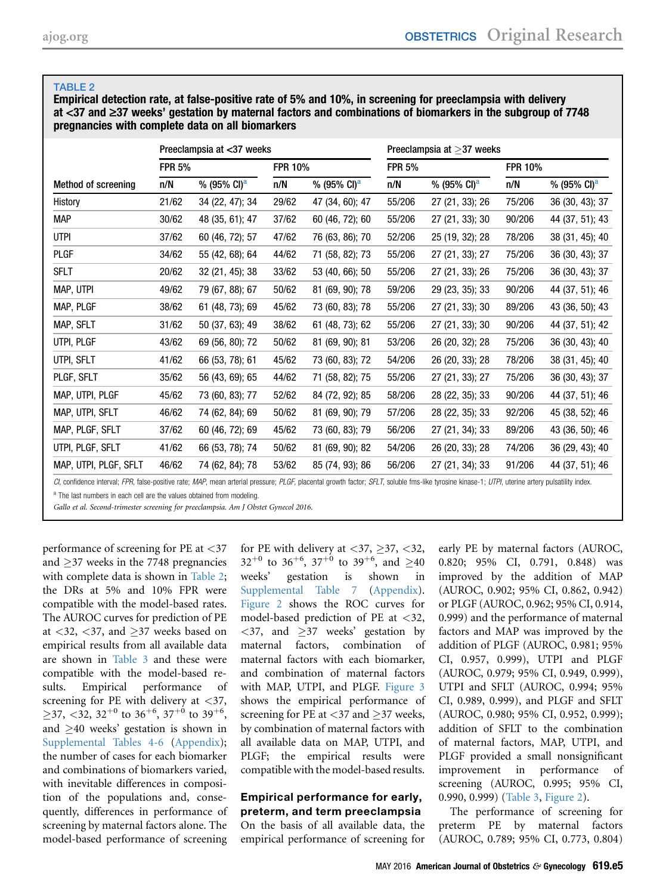<span id="page-4-0"></span>Empirical detection rate, at false-positive rate of 5% and 10%, in screening for preeclampsia with delivery at  $<$ 37 and  $\geq$ 37 weeks' gestation by maternal factors and combinations of biomarkers in the subgroup of 7748 pregnancies with complete data on all biomarkers

|       |                         |               |                           | Preeclampsia at $>$ 37 weeks |                         |        |                         |  |
|-------|-------------------------|---------------|---------------------------|------------------------------|-------------------------|--------|-------------------------|--|
|       |                         |               |                           | <b>FPR 5%</b>                |                         |        |                         |  |
| n/N   | % (95% CI) <sup>a</sup> | n/N           | % (95% CI) <sup>a</sup>   | n/N                          | % (95% CI) <sup>a</sup> | n/N    | % (95% CI) <sup>a</sup> |  |
| 21/62 | 34 (22, 47); 34         | 29/62         | 47 (34, 60); 47           | 55/206                       | 27 (21, 33); 26         | 75/206 | 36 (30, 43); 37         |  |
| 30/62 | 48 (35, 61); 47         | 37/62         | 60 (46, 72); 60           | 55/206                       | 27 (21, 33); 30         | 90/206 | 44 (37, 51); 43         |  |
| 37/62 | 60 (46, 72); 57         | 47/62         | 76 (63, 86); 70           | 52/206                       | 25 (19, 32); 28         | 78/206 | 38 (31, 45); 40         |  |
| 34/62 | 55 (42, 68); 64         | 44/62         | 71 (58, 82); 73           | 55/206                       | 27 (21, 33); 27         | 75/206 | 36 (30, 43); 37         |  |
| 20/62 | 32 (21, 45); 38         | 33/62         | 53 (40, 66); 50           | 55/206                       | 27 (21, 33); 26         | 75/206 | 36 (30, 43); 37         |  |
| 49/62 | 79 (67, 88); 67         | 50/62         | 81 (69, 90); 78           | 59/206                       | 29 (23, 35); 33         | 90/206 | 44 (37, 51); 46         |  |
| 38/62 | 61 (48, 73); 69         | 45/62         | 73 (60, 83); 78           | 55/206                       | 27 (21, 33); 30         | 89/206 | 43 (36, 50); 43         |  |
| 31/62 | 50 (37, 63); 49         | 38/62         | 61 (48, 73); 62           | 55/206                       | 27 (21, 33); 30         | 90/206 | 44 (37, 51); 42         |  |
| 43/62 | 69 (56, 80); 72         | 50/62         | 81 (69, 90); 81           | 53/206                       | 26 (20, 32); 28         | 75/206 | 36 (30, 43); 40         |  |
| 41/62 | 66 (53, 78); 61         | 45/62         | 73 (60, 83); 72           | 54/206                       | 26 (20, 33); 28         | 78/206 | 38 (31, 45); 40         |  |
| 35/62 | 56 (43, 69); 65         | 44/62         | 71 (58, 82); 75           | 55/206                       | 27 (21, 33); 27         | 75/206 | 36 (30, 43); 37         |  |
| 45/62 | 73 (60, 83); 77         | 52/62         | 84 (72, 92); 85           | 58/206                       | 28 (22, 35); 33         | 90/206 | 44 (37, 51); 46         |  |
| 46/62 | 74 (62, 84); 69         | 50/62         | 81 (69, 90); 79           | 57/206                       | 28 (22, 35); 33         | 92/206 | 45 (38, 52); 46         |  |
| 37/62 | 60 (46, 72); 69         | 45/62         | 73 (60, 83); 79           | 56/206                       | 27 (21, 34); 33         | 89/206 | 43 (36, 50); 46         |  |
| 41/62 | 66 (53, 78); 74         | 50/62         | 81 (69, 90); 82           | 54/206                       | 26 (20, 33); 28         | 74/206 | 36 (29, 43); 40         |  |
| 46/62 | 74 (62, 84); 78         | 53/62         | 85 (74, 93); 86           | 56/206                       | 27 (21, 34); 33         | 91/206 | 44 (37, 51); 46         |  |
|       |                         | <b>FPR 5%</b> | Preeclampsia at <37 weeks | <b>FPR 10%</b>               |                         |        | <b>FPR 10%</b>          |  |

CI, confidence interval; FPR, false-positive rate; MAP, mean arterial pressure; PLGF, placental growth factor; SFLT, soluble fms-like tyrosine kinase-1; UTPI, uterine artery pulsatility index.

<sup>a</sup> The last numbers in each cell are the values obtained from modeling.

Gallo et al. Second-trimester screening for preeclampsia. Am J Obstet Gynecol 2016.

performance of screening for PE at <37 and  $\geq$ 37 weeks in the 7748 pregnancies with complete data is shown in Table 2; the DRs at 5% and 10% FPR were compatible with the model-based rates. The AUROC curves for prediction of PE at  $\langle 32, \langle 37, \text{ and } \rangle$  = 37 weeks based on empirical results from all available data are shown in [Table 3](#page-5-0) and these were compatible with the model-based results. Empirical performance of screening for PE with delivery at  $\langle 37, \rangle$  $\geq$ 37, <32, 32<sup>+0</sup> to 36<sup>+6</sup>, 37<sup>+0</sup> to 39<sup>+6</sup>, and  $\geq$ 40 weeks' gestation is shown in [Supplemental Tables 4-6](#page-13-0) (Appendix); the number of cases for each biomarker and combinations of biomarkers varied, with inevitable differences in composition of the populations and, consequently, differences in performance of screening by maternal factors alone. The model-based performance of screening

for PE with delivery at  $\langle 37, \rangle$  37,  $\langle 32, \rangle$  $32^{+0}$  to  $36^{+6}$ ,  $37^{+0}$  to  $39^{+6}$ , and  $\geq 40$ weeks' gestation is shown in [Supplemental Table 7](#page-16-0) (Appendix). [Figure 2](#page-6-0) shows the ROC curves for model-based prediction of PE at <32,  $\langle 37,$  and  $\geq 37$  weeks' gestation by<br>maternal factors, combination of maternal factors, maternal factors with each biomarker, and combination of maternal factors with MAP, UTPI, and PLGF. [Figure 3](#page-6-0) shows the empirical performance of screening for PE at  $\langle 37 \rangle$  and  $>37$  weeks, by combination of maternal factors with all available data on MAP, UTPI, and PLGF; the empirical results were compatible with the model-based results.

### Empirical performance for early, preterm, and term preeclampsia On the basis of all available data, the

empirical performance of screening for

early PE by maternal factors (AUROC, 0.820; 95% CI, 0.791, 0.848) was improved by the addition of MAP (AUROC, 0.902; 95% CI, 0.862, 0.942) or PLGF (AUROC, 0.962; 95% CI, 0.914, 0.999) and the performance of maternal factors and MAP was improved by the addition of PLGF (AUROC, 0.981; 95% CI, 0.957, 0.999), UTPI and PLGF (AUROC, 0.979; 95% CI, 0.949, 0.999), UTPI and SFLT (AUROC, 0.994; 95% CI, 0.989, 0.999), and PLGF and SFLT (AUROC, 0.980; 95% CI, 0.952, 0.999); addition of SFLT to the combination of maternal factors, MAP, UTPI, and PLGF provided a small nonsignificant improvement in performance of screening (AUROC, 0.995; 95% CI, 0.990, 0.999) ([Table 3](#page-5-0), [Figure 2](#page-6-0)).

The performance of screening for preterm PE by maternal factors (AUROC, 0.789; 95% CI, 0.773, 0.804)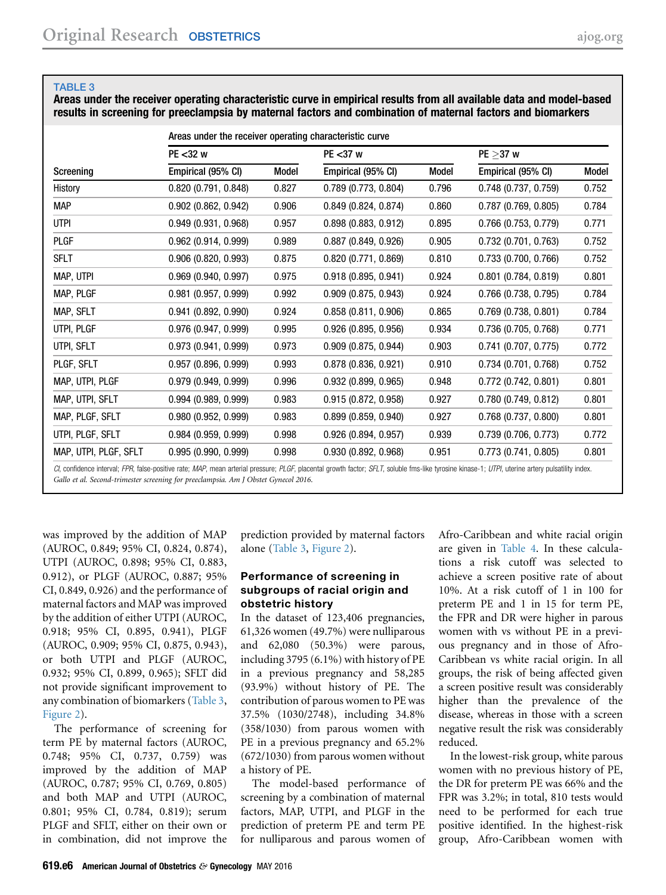<span id="page-5-0"></span>Areas under the receiver operating characteristic curve in empirical results from all available data and model-based results in screening for preeclampsia by maternal factors and combination of maternal factors and biomarkers

|                       | Areas under the receiver operating characteristic curve |       |                        |       |                          |       |  |  |  |  |  |
|-----------------------|---------------------------------------------------------|-------|------------------------|-------|--------------------------|-------|--|--|--|--|--|
|                       | PE <32 w                                                |       | $PE < 37$ w            |       | $PE > 37$ w              |       |  |  |  |  |  |
| Screening             | Empirical (95% CI)                                      | Model | Empirical (95% CI)     | Model | Empirical (95% CI)       | Model |  |  |  |  |  |
| History               | 0.820(0.791, 0.848)                                     | 0.827 | $0.789$ (0.773, 0.804) | 0.796 | $0.748$ (0.737, 0.759)   | 0.752 |  |  |  |  |  |
| <b>MAP</b>            | $0.902$ $(0.862, 0.942)$                                | 0.906 | 0.849(0.824, 0.874)    | 0.860 | $0.787$ (0.769, 0.805)   | 0.784 |  |  |  |  |  |
| <b>UTPI</b>           | 0.949(0.931, 0.968)                                     | 0.957 | 0.898(0.883, 0.912)    | 0.895 | $0.766$ (0.753, 0.779)   | 0.771 |  |  |  |  |  |
| <b>PLGF</b>           | $0.962$ (0.914, 0.999)                                  | 0.989 | $0.887$ (0.849, 0.926) | 0.905 | 0.732(0.701, 0.763)      | 0.752 |  |  |  |  |  |
| <b>SFLT</b>           | $0.906$ $(0.820, 0.993)$                                | 0.875 | 0.820(0.771, 0.869)    | 0.810 | 0.733(0.700, 0.766)      | 0.752 |  |  |  |  |  |
| MAP, UTPI             | 0.969(0.940, 0.997)                                     | 0.975 | 0.918(0.895, 0.941)    | 0.924 | $0.801$ (0.784, 0.819)   | 0.801 |  |  |  |  |  |
| MAP, PLGF             | $0.981$ (0.957, 0.999)                                  | 0.992 | $0.909$ (0.875, 0.943) | 0.924 | $0.766$ (0.738, 0.795)   | 0.784 |  |  |  |  |  |
| MAP, SFLT             | $0.941$ $(0.892, 0.990)$                                | 0.924 | 0.858(0.811, 0.906)    | 0.865 | $0.769$ (0.738, 0.801)   | 0.784 |  |  |  |  |  |
| UTPI, PLGF            | 0.976(0.947, 0.999)                                     | 0.995 | $0.926$ (0.895, 0.956) | 0.934 | 0.736(0.705, 0.768)      | 0.771 |  |  |  |  |  |
| UTPI, SFLT            | 0.973(0.941, 0.999)                                     | 0.973 | $0.909$ (0.875, 0.944) | 0.903 | $0.741$ $(0.707, 0.775)$ | 0.772 |  |  |  |  |  |
| PLGF, SFLT            | $0.957$ (0.896, 0.999)                                  | 0.993 | 0.878(0.836, 0.921)    | 0.910 | $0.734$ (0.701, 0.768)   | 0.752 |  |  |  |  |  |
| MAP, UTPI, PLGF       | 0.979(0.949, 0.999)                                     | 0.996 | $0.932$ (0.899, 0.965) | 0.948 | 0.772(0.742, 0.801)      | 0.801 |  |  |  |  |  |
| MAP, UTPI, SFLT       | 0.994(0.989, 0.999)                                     | 0.983 | 0.915(0.872, 0.958)    | 0.927 | 0.780(0.749, 0.812)      | 0.801 |  |  |  |  |  |
| MAP, PLGF, SFLT       | 0.980(0.952, 0.999)                                     | 0.983 | 0.899(0.859, 0.940)    | 0.927 | $0.768$ (0.737, 0.800)   | 0.801 |  |  |  |  |  |
| UTPI, PLGF, SFLT      | $0.984$ (0.959, 0.999)                                  | 0.998 | $0.926$ (0.894, 0.957) | 0.939 | 0.739(0.706, 0.773)      | 0.772 |  |  |  |  |  |
| MAP, UTPI, PLGF, SFLT | 0.995(0.990, 0.999)                                     | 0.998 | 0.930(0.892, 0.968)    | 0.951 | 0.773(0.741, 0.805)      | 0.801 |  |  |  |  |  |
|                       |                                                         |       |                        |       |                          |       |  |  |  |  |  |

CI, confidence interval; FPR, false-positive rate; MAP, mean arterial pressure; PLGF, placental growth factor; SFLT, soluble fms-like tyrosine kinase-1; UTPI, uterine artery pulsatility index. Gallo et al. Second-trimester screening for preeclampsia. Am J Obstet Gynecol 2016.

was improved by the addition of MAP (AUROC, 0.849; 95% CI, 0.824, 0.874), UTPI (AUROC, 0.898; 95% CI, 0.883, 0.912), or PLGF (AUROC, 0.887; 95% CI, 0.849, 0.926) and the performance of maternal factors and MAP was improved by the addition of either UTPI (AUROC, 0.918; 95% CI, 0.895, 0.941), PLGF (AUROC, 0.909; 95% CI, 0.875, 0.943), or both UTPI and PLGF (AUROC, 0.932; 95% CI, 0.899, 0.965); SFLT did not provide significant improvement to any combination of biomarkers (Table 3, [Figure 2\)](#page-6-0).

The performance of screening for term PE by maternal factors (AUROC, 0.748; 95% CI, 0.737, 0.759) was improved by the addition of MAP (AUROC, 0.787; 95% CI, 0.769, 0.805) and both MAP and UTPI (AUROC, 0.801; 95% CI, 0.784, 0.819); serum PLGF and SFLT, either on their own or in combination, did not improve the prediction provided by maternal factors alone (Table 3, [Figure 2](#page-6-0)).

### Performance of screening in subgroups of racial origin and obstetric history

In the dataset of 123,406 pregnancies, 61,326 women (49.7%) were nulliparous and 62,080 (50.3%) were parous, including 3795 (6.1%) with history of PE in a previous pregnancy and 58,285 (93.9%) without history of PE. The contribution of parous women to PE was 37.5% (1030/2748), including 34.8% (358/1030) from parous women with PE in a previous pregnancy and 65.2% (672/1030) from parous women without a history of PE.

The model-based performance of screening by a combination of maternal factors, MAP, UTPI, and PLGF in the prediction of preterm PE and term PE for nulliparous and parous women of Afro-Caribbean and white racial origin are given in [Table 4.](#page-7-0) In these calculations a risk cutoff was selected to achieve a screen positive rate of about 10%. At a risk cutoff of 1 in 100 for preterm PE and 1 in 15 for term PE, the FPR and DR were higher in parous women with vs without PE in a previous pregnancy and in those of Afro-Caribbean vs white racial origin. In all groups, the risk of being affected given a screen positive result was considerably higher than the prevalence of the disease, whereas in those with a screen negative result the risk was considerably reduced.

In the lowest-risk group, white parous women with no previous history of PE, the DR for preterm PE was 66% and the FPR was 3.2%; in total, 810 tests would need to be performed for each true positive identified. In the highest-risk group, Afro-Caribbean women with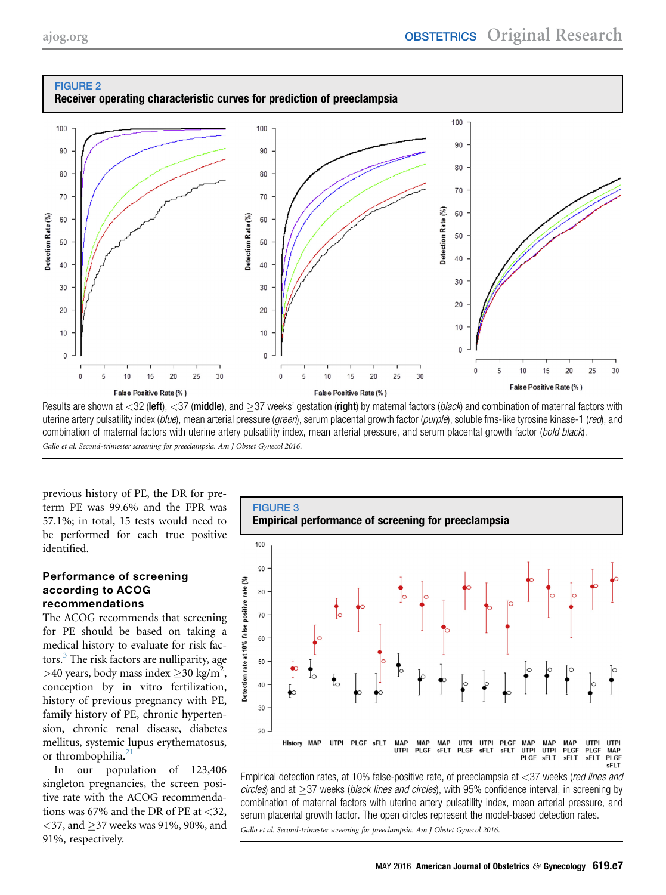<span id="page-6-0"></span>

Results are shown at <32 (left), <37 (middle), and >37 weeks' gestation (right) by maternal factors (black) and combination of maternal factors with uterine artery pulsatility index (blue), mean arterial pressure (green), serum placental growth factor (purple), soluble fms-like tyrosine kinase-1 (red), and combination of maternal factors with uterine artery pulsatility index, mean arterial pressure, and serum placental growth factor (bold black). Gallo et al. Second-trimester screening for preeclampsia. Am J Obstet Gynecol 2016.

previous history of PE, the DR for preterm PE was 99.6% and the FPR was 57.1%; in total, 15 tests would need to be performed for each true positive identified.

## Performance of screening according to ACOG recommendations

The ACOG recommends that screening for PE should be based on taking a medical history to evaluate for risk fac-tors.<sup>[3](#page-9-0)</sup> The risk factors are nulliparity, age >40 years, body mass index  $\geq$ 30 kg/m<sup>2</sup>, conception by in vitro fertilization, history of previous pregnancy with PE, family history of PE, chronic hypertension, chronic renal disease, diabetes mellitus, systemic lupus erythematosus, or thrombophilia.<sup>[21](#page-9-0)</sup>

In our population of 123,406 singleton pregnancies, the screen positive rate with the ACOG recommendations was 67% and the DR of PE at  $<32$ , <37, and  $\geq$ 37 weeks was 91%, 90%, and 91%, respectively.



Empirical detection rates, at 10% false-positive rate, of preeclampsia at <37 weeks (red lines and  $circles$ ) and at  $>37$  weeks (*black lines and circles*), with 95% confidence interval, in screening by combination of maternal factors with uterine artery pulsatility index, mean arterial pressure, and serum placental growth factor. The open circles represent the model-based detection rates. Gallo et al. Second-trimester screening for preeclampsia. Am J Obstet Gynecol 2016.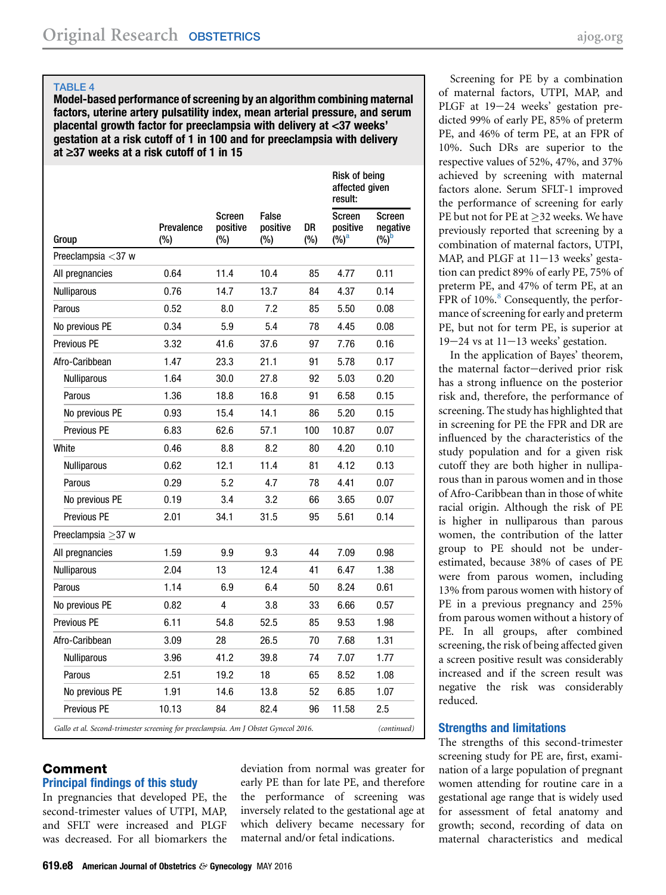<span id="page-7-0"></span>Model-based performance of screening by an algorithm combining maternal factors, uterine artery pulsatility index, mean arterial pressure, and serum placental growth factor for preeclampsia with delivery at <37 weeks' gestation at a risk cutoff of 1 in 100 and for preeclampsia with delivery at  $\geq$ 37 weeks at a risk cutoff of 1 in 15

|                          |                   |                                     |                          |           | Risk of being<br>affected given<br>result: |                                      |  |
|--------------------------|-------------------|-------------------------------------|--------------------------|-----------|--------------------------------------------|--------------------------------------|--|
| Group                    | Prevalence<br>(%) | <b>Screen</b><br>positive<br>$(\%)$ | False<br>positive<br>(%) | DR<br>(%) | Screen<br>positive<br>$(\%)^a$             | <b>Screen</b><br>negative<br>$(%)^b$ |  |
| Preeclampsia <37 w       |                   |                                     |                          |           |                                            |                                      |  |
| All pregnancies          | 0.64              | 11.4                                | 10.4                     | 85        | 4.77                                       | 0.11                                 |  |
| Nulliparous              | 0.76              | 14.7                                | 13.7                     | 84        | 4.37                                       | 0.14                                 |  |
| Parous                   | 0.52              | 8.0                                 | 7.2                      | 85        | 5.50                                       | 0.08                                 |  |
| No previous PE           | 0.34              | 5.9                                 | 5.4                      | 78        | 4.45                                       | 0.08                                 |  |
| Previous PE              | 3.32              | 41.6                                | 37.6                     | 97        | 7.76                                       | 0.16                                 |  |
| Afro-Caribbean           | 1.47              | 23.3                                | 21.1                     | 91        | 5.78                                       | 0.17                                 |  |
| <b>Nulliparous</b>       | 1.64              | 30.0                                | 27.8                     | 92        | 5.03                                       | 0.20                                 |  |
| Parous                   | 1.36              | 18.8                                | 16.8                     | 91        | 6.58                                       | 0.15                                 |  |
| No previous PE           | 0.93              | 15.4                                | 14.1                     | 86        | 5.20                                       | 0.15                                 |  |
| Previous PE              | 6.83              | 62.6                                | 57.1                     | 100       | 10.87                                      | 0.07                                 |  |
| White                    | 0.46              | 8.8                                 | 8.2                      | 80        | 4.20                                       | 0.10                                 |  |
| Nulliparous              | 0.62              | 12.1                                | 11.4                     | 81        | 4.12                                       | 0.13                                 |  |
| Parous                   | 0.29              | 5.2                                 | 4.7                      | 78        | 4.41                                       | 0.07                                 |  |
| No previous PE           | 0.19              | 3.4                                 | 3.2                      | 66        | 3.65                                       | 0.07                                 |  |
| Previous PE              | 2.01              | 34.1                                | 31.5                     | 95        | 5.61                                       | 0.14                                 |  |
| Preeclampsia $\geq$ 37 w |                   |                                     |                          |           |                                            |                                      |  |
| All pregnancies          | 1.59              | 9.9                                 | 9.3                      | 44        | 7.09                                       | 0.98                                 |  |
| Nulliparous              | 2.04              | 13                                  | 12.4                     | 41        | 6.47                                       | 1.38                                 |  |
| Parous                   | 1.14              | 6.9                                 | 6.4                      | 50        | 8.24                                       | 0.61                                 |  |
| No previous PE           | 0.82              | 4                                   | 3.8                      | 33        | 6.66                                       | 0.57                                 |  |
| Previous PE              | 6.11              | 54.8                                | 52.5                     | 85        | 9.53                                       | 1.98                                 |  |
| Afro-Caribbean           | 3.09              | 28                                  | 26.5                     | 70        | 7.68                                       | 1.31                                 |  |
| <b>Nulliparous</b>       | 3.96              | 41.2                                | 39.8                     | 74        | 7.07                                       | 1.77                                 |  |
| Parous                   | 2.51              | 19.2                                | 18                       | 65        | 8.52                                       | 1.08                                 |  |
| No previous PE           | 1.91              | 14.6                                | 13.8                     | 52        | 6.85                                       | 1.07                                 |  |
| Previous PE              | 10.13             | 84                                  | 82.4                     | 96        | 11.58                                      | 2.5                                  |  |

# Comment

# Principal findings of this study

In pregnancies that developed PE, the second-trimester values of UTPI, MAP, and SFLT were increased and PLGF was decreased. For all biomarkers the deviation from normal was greater for early PE than for late PE, and therefore the performance of screening was inversely related to the gestational age at which delivery became necessary for maternal and/or fetal indications.

Screening for PE by a combination of maternal factors, UTPI, MAP, and PLGF at 19-24 weeks' gestation predicted 99% of early PE, 85% of preterm PE, and 46% of term PE, at an FPR of 10%. Such DRs are superior to the respective values of 52%, 47%, and 37% achieved by screening with maternal factors alone. Serum SFLT-1 improved the performance of screening for early PE but not for PE at  $\geq$ 32 weeks. We have previously reported that screening by a combination of maternal factors, UTPI, MAP, and PLGF at  $11-13$  weeks' gestation can predict 89% of early PE, 75% of preterm PE, and 47% of term PE, at an FPR of  $10\%$ .<sup>8</sup> Consequently, the performance of screening for early and preterm PE, but not for term PE, is superior at  $19-24$  vs at  $11-13$  weeks' gestation.

In the application of Bayes' theorem, the maternal factor-derived prior risk has a strong influence on the posterior risk and, therefore, the performance of screening. The study has highlighted that in screening for PE the FPR and DR are influenced by the characteristics of the study population and for a given risk cutoff they are both higher in nulliparous than in parous women and in those of Afro-Caribbean than in those of white racial origin. Although the risk of PE is higher in nulliparous than parous women, the contribution of the latter group to PE should not be underestimated, because 38% of cases of PE were from parous women, including 13% from parous women with history of PE in a previous pregnancy and 25% from parous women without a history of PE. In all groups, after combined screening, the risk of being affected given a screen positive result was considerably increased and if the screen result was negative the risk was considerably reduced.

## Strengths and limitations

The strengths of this second-trimester screening study for PE are, first, examination of a large population of pregnant women attending for routine care in a gestational age range that is widely used for assessment of fetal anatomy and growth; second, recording of data on maternal characteristics and medical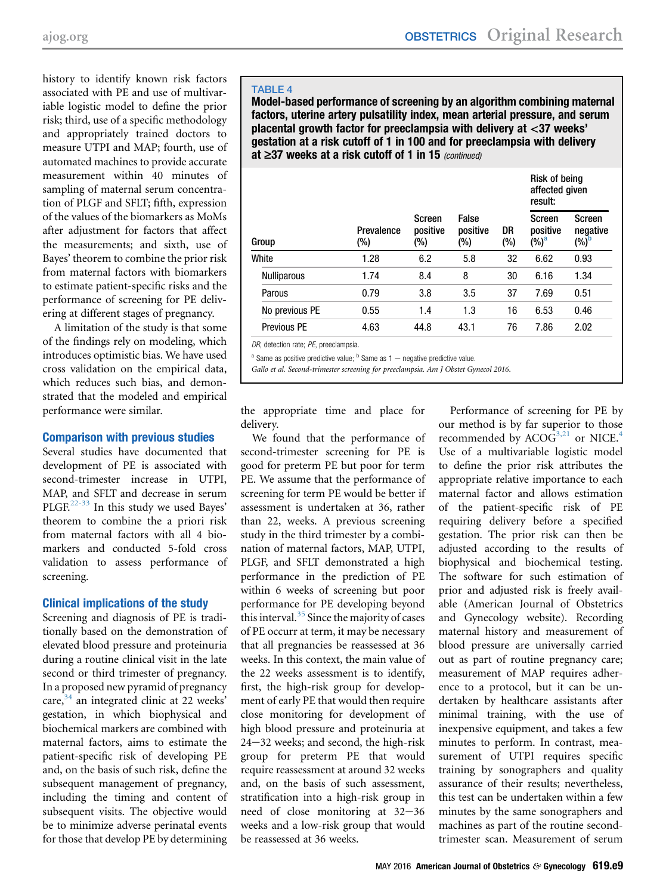<span id="page-8-0"></span>history to identify known risk factors associated with PE and use of multivariable logistic model to define the prior risk; third, use of a specific methodology and appropriately trained doctors to measure UTPI and MAP; fourth, use of automated machines to provide accurate measurement within 40 minutes of sampling of maternal serum concentration of PLGF and SFLT; fifth, expression of the values of the biomarkers as MoMs after adjustment for factors that affect the measurements; and sixth, use of Bayes' theorem to combine the prior risk from maternal factors with biomarkers to estimate patient-specific risks and the performance of screening for PE delivering at different stages of pregnancy.

A limitation of the study is that some of the findings rely on modeling, which introduces optimistic bias. We have used cross validation on the empirical data, which reduces such bias, and demonstrated that the modeled and empirical performance were similar.

# Comparison with previous studies

Several studies have documented that development of PE is associated with second-trimester increase in UTPI, MAP, and SFLT and decrease in serum PLGF.<sup>[22-33](#page-9-0)</sup> In this study we used Bayes' theorem to combine the a priori risk from maternal factors with all 4 biomarkers and conducted 5-fold cross validation to assess performance of screening.

# Clinical implications of the study

Screening and diagnosis of PE is traditionally based on the demonstration of elevated blood pressure and proteinuria during a routine clinical visit in the late second or third trimester of pregnancy. In a proposed new pyramid of pregnancy  $care$ <sup>34</sup> an integrated clinic at 22 weeks' gestation, in which biophysical and biochemical markers are combined with maternal factors, aims to estimate the patient-specific risk of developing PE and, on the basis of such risk, define the subsequent management of pregnancy, including the timing and content of subsequent visits. The objective would be to minimize adverse perinatal events for those that develop PE by determining

# TABLE 4

Model-based performance of screening by an algorithm combining maternal factors, uterine artery pulsatility index, mean arterial pressure, and serum placental growth factor for preeclampsia with delivery at <37 weeks' gestation at a risk cutoff of 1 in 100 and for preeclampsia with delivery at  $\geq$ 37 weeks at a risk cutoff of 1 in 15 (continued)

|                    |                   |                           |                          |           | Risk of being<br>affected given<br>result:  |                                           |  |
|--------------------|-------------------|---------------------------|--------------------------|-----------|---------------------------------------------|-------------------------------------------|--|
| Group              | Prevalence<br>(%) | Screen<br>positive<br>(%) | False<br>positive<br>(%) | DR<br>(%) | <b>Screen</b><br>positive<br>$(\%)^{\rm a}$ | Screen<br>negative<br>$(\%)^{\mathsf{b}}$ |  |
| White              | 1.28              | 6.2                       | 5.8                      | 32        | 6.62                                        | 0.93                                      |  |
| <b>Nulliparous</b> | 1.74              | 8.4                       | 8                        | 30        | 6.16                                        | 1.34                                      |  |
| Parous             | 0.79              | 3.8                       | 3.5                      | 37        | 7.69                                        | 0.51                                      |  |
| No previous PE     | 0.55              | 1.4                       | 1.3                      | 16        | 6.53                                        | 0.46                                      |  |
| Previous PE        | 4.63              | 44.8                      | 43.1                     | 76        | 7.86                                        | 2.02                                      |  |

DR, detection rate; PE, preeclampsia.

 $a$  Same as positive predictive value;  $b$  Same as 1 – negative predictive value.

Gallo et al. Second-trimester screening for preeclampsia. Am J Obstet Gynecol 2016.

the appropriate time and place for delivery.

We found that the performance of second-trimester screening for PE is good for preterm PE but poor for term PE. We assume that the performance of screening for term PE would be better if assessment is undertaken at 36, rather than 22, weeks. A previous screening study in the third trimester by a combination of maternal factors, MAP, UTPI, PLGF, and SFLT demonstrated a high performance in the prediction of PE within 6 weeks of screening but poor performance for PE developing beyond this interval.<sup>[35](#page-9-0)</sup> Since the majority of cases of PE occurr at term, it may be necessary that all pregnancies be reassessed at 36 weeks. In this context, the main value of the 22 weeks assessment is to identify, first, the high-risk group for development of early PE that would then require close monitoring for development of high blood pressure and proteinuria at  $24-32$  weeks; and second, the high-risk group for preterm PE that would require reassessment at around 32 weeks and, on the basis of such assessment, stratification into a high-risk group in need of close monitoring at  $32-36$ weeks and a low-risk group that would be reassessed at 36 weeks.

Performance of screening for PE by our method is by far superior to those recommended by  $ACOG^{3,21}$  $ACOG^{3,21}$  $ACOG^{3,21}$  or NICE.<sup>[4](#page-9-0)</sup> Use of a multivariable logistic model to define the prior risk attributes the appropriate relative importance to each maternal factor and allows estimation of the patient-specific risk of PE requiring delivery before a specified gestation. The prior risk can then be adjusted according to the results of biophysical and biochemical testing. The software for such estimation of prior and adjusted risk is freely available (American Journal of Obstetrics and Gynecology website). Recording maternal history and measurement of blood pressure are universally carried out as part of routine pregnancy care; measurement of MAP requires adherence to a protocol, but it can be undertaken by healthcare assistants after minimal training, with the use of inexpensive equipment, and takes a few minutes to perform. In contrast, measurement of UTPI requires specific training by sonographers and quality assurance of their results; nevertheless, this test can be undertaken within a few minutes by the same sonographers and machines as part of the routine secondtrimester scan. Measurement of serum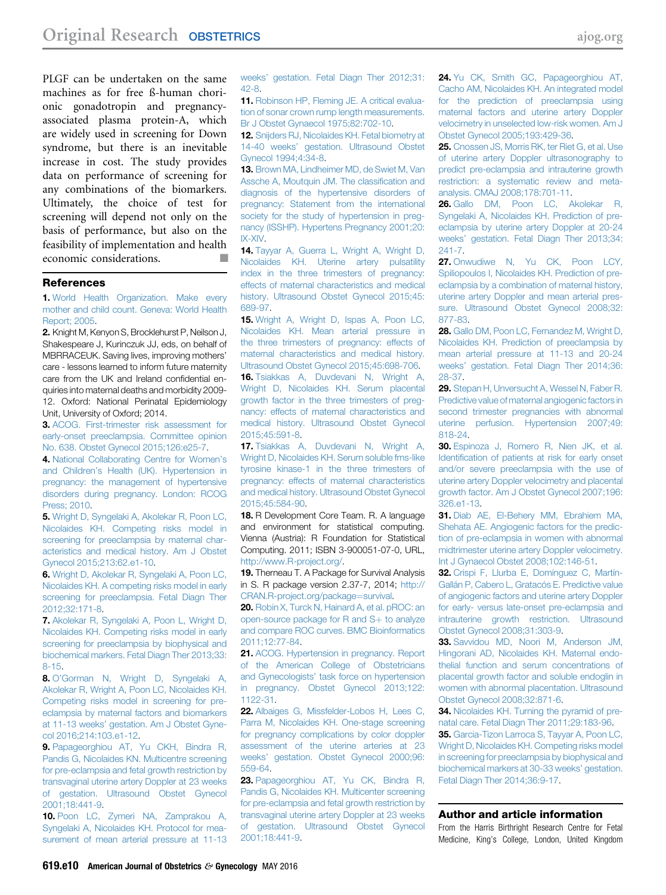<span id="page-9-0"></span>PLGF can be undertaken on the same machines as for free ß-human chorionic gonadotropin and pregnancyassociated plasma protein-A, which are widely used in screening for Down syndrome, but there is an inevitable increase in cost. The study provides data on performance of screening for any combinations of the biomarkers. Ultimately, the choice of test for screening will depend not only on the basis of performance, but also on the feasibility of implementation and health economic considerations.

#### **References**

1. [World Health Organization. Make every](http://refhub.elsevier.com/S0002-9378(15)02345-5/sref1) [mother and child count. Geneva: World Health](http://refhub.elsevier.com/S0002-9378(15)02345-5/sref1) [Report; 2005.](http://refhub.elsevier.com/S0002-9378(15)02345-5/sref1)

2. Knight M, Kenyon S, Brocklehurst P, Neilson J, Shakespeare J, Kurinczuk JJ, eds, on behalf of MBRRACEUK. Saving lives, improving mothers' care - lessons learned to inform future maternity care from the UK and Ireland confidential enquiries into maternal deaths and morbidity 2009- 12. Oxford: National Perinatal Epidemiology Unit, University of Oxford; 2014.

3. [ACOG. First-trimester risk assessment for](http://refhub.elsevier.com/S0002-9378(15)02345-5/sref3) [early-onset preeclampsia. Committee opinion](http://refhub.elsevier.com/S0002-9378(15)02345-5/sref3) [No. 638. Obstet Gynecol 2015;126:e25-7.](http://refhub.elsevier.com/S0002-9378(15)02345-5/sref3)

4. [National Collaborating Centre for Women](http://refhub.elsevier.com/S0002-9378(15)02345-5/sref4)'s and Children'[s Health \(UK\). Hypertension in](http://refhub.elsevier.com/S0002-9378(15)02345-5/sref4) [pregnancy: the management of hypertensive](http://refhub.elsevier.com/S0002-9378(15)02345-5/sref4) [disorders during pregnancy. London: RCOG](http://refhub.elsevier.com/S0002-9378(15)02345-5/sref4) [Press; 2010.](http://refhub.elsevier.com/S0002-9378(15)02345-5/sref4)

5. [Wright D, Syngelaki A, Akolekar R, Poon LC,](http://refhub.elsevier.com/S0002-9378(15)02345-5/sref5) [Nicolaides KH. Competing risks model in](http://refhub.elsevier.com/S0002-9378(15)02345-5/sref5) [screening for preeclampsia by maternal char](http://refhub.elsevier.com/S0002-9378(15)02345-5/sref5)[acteristics and medical history. Am J Obstet](http://refhub.elsevier.com/S0002-9378(15)02345-5/sref5) [Gynecol 2015;213:62.e1-10.](http://refhub.elsevier.com/S0002-9378(15)02345-5/sref5)

6. [Wright D, Akolekar R, Syngelaki A, Poon LC,](http://refhub.elsevier.com/S0002-9378(15)02345-5/sref6) [Nicolaides KH. A competing risks model in early](http://refhub.elsevier.com/S0002-9378(15)02345-5/sref6) [screening for preeclampsia. Fetal Diagn Ther](http://refhub.elsevier.com/S0002-9378(15)02345-5/sref6) [2012;32:171-8.](http://refhub.elsevier.com/S0002-9378(15)02345-5/sref6)

7. [Akolekar R, Syngelaki A, Poon L, Wright D,](http://refhub.elsevier.com/S0002-9378(15)02345-5/sref7) [Nicolaides KH. Competing risks model in early](http://refhub.elsevier.com/S0002-9378(15)02345-5/sref7) [screening for preeclampsia by biophysical and](http://refhub.elsevier.com/S0002-9378(15)02345-5/sref7) [biochemical markers. Fetal Diagn Ther 2013;33:](http://refhub.elsevier.com/S0002-9378(15)02345-5/sref7) [8-15.](http://refhub.elsevier.com/S0002-9378(15)02345-5/sref7)

8. O'[Gorman N, Wright D, Syngelaki A,](http://refhub.elsevier.com/S0002-9378(15)02345-5/sref8) [Akolekar R, Wright A, Poon LC, Nicolaides KH.](http://refhub.elsevier.com/S0002-9378(15)02345-5/sref8) [Competing risks model in screening for pre](http://refhub.elsevier.com/S0002-9378(15)02345-5/sref8)[eclampsia by maternal factors and biomarkers](http://refhub.elsevier.com/S0002-9378(15)02345-5/sref8) at 11-13 weeks' [gestation. Am J Obstet Gyne](http://refhub.elsevier.com/S0002-9378(15)02345-5/sref8)[col 2016;214:103.e1-12](http://refhub.elsevier.com/S0002-9378(15)02345-5/sref8).

9. [Papageorghiou AT, Yu CKH, Bindra R,](http://refhub.elsevier.com/S0002-9378(15)02345-5/sref9) [Pandis G, Nicolaides KN. Multicentre screening](http://refhub.elsevier.com/S0002-9378(15)02345-5/sref9) [for pre-eclampsia and fetal growth restriction by](http://refhub.elsevier.com/S0002-9378(15)02345-5/sref9) [transvaginal uterine artery Doppler at 23 weeks](http://refhub.elsevier.com/S0002-9378(15)02345-5/sref9) [of gestation. Ultrasound Obstet Gynecol](http://refhub.elsevier.com/S0002-9378(15)02345-5/sref9) [2001;18:441-9.](http://refhub.elsevier.com/S0002-9378(15)02345-5/sref9)

10. [Poon LC, Zymeri NA, Zamprakou A,](http://refhub.elsevier.com/S0002-9378(15)02345-5/sref10) [Syngelaki A, Nicolaides KH. Protocol for mea](http://refhub.elsevier.com/S0002-9378(15)02345-5/sref10)[surement of mean arterial pressure at 11-13](http://refhub.elsevier.com/S0002-9378(15)02345-5/sref10) weeks' [gestation. Fetal Diagn Ther 2012;31:](http://refhub.elsevier.com/S0002-9378(15)02345-5/sref10) [42-8](http://refhub.elsevier.com/S0002-9378(15)02345-5/sref10).

11. [Robinson HP, Fleming JE. A critical evalua](http://refhub.elsevier.com/S0002-9378(15)02345-5/sref11)[tion of sonar crown rump length measurements.](http://refhub.elsevier.com/S0002-9378(15)02345-5/sref11) [Br J Obstet Gynaecol 1975;82:702-10.](http://refhub.elsevier.com/S0002-9378(15)02345-5/sref11)

12. [Snijders RJ, Nicolaides KH. Fetal biometry at](http://refhub.elsevier.com/S0002-9378(15)02345-5/sref12) 14-40 weeks' [gestation. Ultrasound Obstet](http://refhub.elsevier.com/S0002-9378(15)02345-5/sref12) [Gynecol 1994;4:34-8](http://refhub.elsevier.com/S0002-9378(15)02345-5/sref12).

13. [Brown MA, Lindheimer MD, de Swiet M, Van](http://refhub.elsevier.com/S0002-9378(15)02345-5/sref13) [Assche A, Moutquin JM. The classi](http://refhub.elsevier.com/S0002-9378(15)02345-5/sref13)fication and [diagnosis of the hypertensive disorders of](http://refhub.elsevier.com/S0002-9378(15)02345-5/sref13) [pregnancy: Statement from the international](http://refhub.elsevier.com/S0002-9378(15)02345-5/sref13) [society for the study of hypertension in preg](http://refhub.elsevier.com/S0002-9378(15)02345-5/sref13)[nancy \(ISSHP\). Hypertens Pregnancy 2001;20:](http://refhub.elsevier.com/S0002-9378(15)02345-5/sref13) [IX-XIV](http://refhub.elsevier.com/S0002-9378(15)02345-5/sref13).

14. [Tayyar A, Guerra L, Wright A, Wright D,](http://refhub.elsevier.com/S0002-9378(15)02345-5/sref14) [Nicolaides KH. Uterine artery pulsatility](http://refhub.elsevier.com/S0002-9378(15)02345-5/sref14) [index in the three trimesters of pregnancy:](http://refhub.elsevier.com/S0002-9378(15)02345-5/sref14) [effects of maternal characteristics and medical](http://refhub.elsevier.com/S0002-9378(15)02345-5/sref14) [history. Ultrasound Obstet Gynecol 2015;45:](http://refhub.elsevier.com/S0002-9378(15)02345-5/sref14) [689-97](http://refhub.elsevier.com/S0002-9378(15)02345-5/sref14).

15. [Wright A, Wright D, Ispas A, Poon LC,](http://refhub.elsevier.com/S0002-9378(15)02345-5/sref15) [Nicolaides KH. Mean arterial pressure in](http://refhub.elsevier.com/S0002-9378(15)02345-5/sref15) [the three trimesters of pregnancy: effects of](http://refhub.elsevier.com/S0002-9378(15)02345-5/sref15) [maternal characteristics and medical history.](http://refhub.elsevier.com/S0002-9378(15)02345-5/sref15) [Ultrasound Obstet Gynecol 2015;45:698-706.](http://refhub.elsevier.com/S0002-9378(15)02345-5/sref15)

16. [Tsiakkas A, Duvdevani N, Wright A,](http://refhub.elsevier.com/S0002-9378(15)02345-5/sref16) [Wright D, Nicolaides KH. Serum placental](http://refhub.elsevier.com/S0002-9378(15)02345-5/sref16) [growth factor in the three trimesters of preg](http://refhub.elsevier.com/S0002-9378(15)02345-5/sref16)[nancy: effects of maternal characteristics and](http://refhub.elsevier.com/S0002-9378(15)02345-5/sref16) [medical history. Ultrasound Obstet Gynecol](http://refhub.elsevier.com/S0002-9378(15)02345-5/sref16) [2015;45:591-8](http://refhub.elsevier.com/S0002-9378(15)02345-5/sref16).

17. [Tsiakkas A, Duvdevani N, Wright A,](http://refhub.elsevier.com/S0002-9378(15)02345-5/sref17) [Wright D, Nicolaides KH. Serum soluble fms-like](http://refhub.elsevier.com/S0002-9378(15)02345-5/sref17) [tyrosine kinase-1 in the three trimesters of](http://refhub.elsevier.com/S0002-9378(15)02345-5/sref17) [pregnancy: effects of maternal characteristics](http://refhub.elsevier.com/S0002-9378(15)02345-5/sref17) [and medical history. Ultrasound Obstet Gynecol](http://refhub.elsevier.com/S0002-9378(15)02345-5/sref17) [2015;45:584-90.](http://refhub.elsevier.com/S0002-9378(15)02345-5/sref17)

18. R Development Core Team. R. A language and environment for statistical computing. Vienna (Austria): R Foundation for Statistical Computing. 2011; ISBN 3-900051-07-0, URL, <http://www.R-project.org/>.

19. Therneau T. A Package for Survival Analysis in S. R package version 2.37-7, 2014; [http://](http://CRAN.R-project.org/package%3dsurvival) [CRAN.R-project.org/package](http://CRAN.R-project.org/package%3dsurvival)=[survival](http://CRAN.R-project.org/package%3dsurvival).

20. [Robin X, Turck N, Hainard A, et al. pROC: an](http://refhub.elsevier.com/S0002-9378(15)02345-5/sref20) open-source package for  $R$  and  $S$  + [to analyze](http://refhub.elsevier.com/S0002-9378(15)02345-5/sref20) [and compare ROC curves. BMC Bioinformatics](http://refhub.elsevier.com/S0002-9378(15)02345-5/sref20) [2011;12:77-84](http://refhub.elsevier.com/S0002-9378(15)02345-5/sref20).

21. [ACOG. Hypertension in pregnancy. Report](http://refhub.elsevier.com/S0002-9378(15)02345-5/sref21) [of the American College of Obstetricians](http://refhub.elsevier.com/S0002-9378(15)02345-5/sref21) and Gynecologists' [task force on hypertension](http://refhub.elsevier.com/S0002-9378(15)02345-5/sref21) [in pregnancy. Obstet Gynecol 2013;122:](http://refhub.elsevier.com/S0002-9378(15)02345-5/sref21) [1122-31](http://refhub.elsevier.com/S0002-9378(15)02345-5/sref21).

22. [Albaiges G, Missfelder-Lobos H, Lees C,](http://refhub.elsevier.com/S0002-9378(15)02345-5/sref22) [Parra M, Nicolaides KH. One-stage screening](http://refhub.elsevier.com/S0002-9378(15)02345-5/sref22) [for pregnancy complications by color doppler](http://refhub.elsevier.com/S0002-9378(15)02345-5/sref22) [assessment of the uterine arteries at 23](http://refhub.elsevier.com/S0002-9378(15)02345-5/sref22) weeks' [gestation. Obstet Gynecol 2000;96:](http://refhub.elsevier.com/S0002-9378(15)02345-5/sref22) [559-64](http://refhub.elsevier.com/S0002-9378(15)02345-5/sref22).

23. [Papageorghiou AT, Yu CK, Bindra R,](http://refhub.elsevier.com/S0002-9378(15)02345-5/sref23) [Pandis G, Nicolaides KH. Multicenter screening](http://refhub.elsevier.com/S0002-9378(15)02345-5/sref23) [for pre-eclampsia and fetal growth restriction by](http://refhub.elsevier.com/S0002-9378(15)02345-5/sref23) [transvaginal uterine artery Doppler at 23 weeks](http://refhub.elsevier.com/S0002-9378(15)02345-5/sref23) [of gestation. Ultrasound Obstet Gynecol](http://refhub.elsevier.com/S0002-9378(15)02345-5/sref23) [2001;18:441-9](http://refhub.elsevier.com/S0002-9378(15)02345-5/sref23).

24. [Yu CK, Smith GC, Papageorghiou AT,](http://refhub.elsevier.com/S0002-9378(15)02345-5/sref24) [Cacho AM, Nicolaides KH. An integrated model](http://refhub.elsevier.com/S0002-9378(15)02345-5/sref24) [for the prediction of preeclampsia using](http://refhub.elsevier.com/S0002-9378(15)02345-5/sref24) [maternal factors and uterine artery Doppler](http://refhub.elsevier.com/S0002-9378(15)02345-5/sref24) [velocimetry in unselected low-risk women. Am J](http://refhub.elsevier.com/S0002-9378(15)02345-5/sref24) [Obstet Gynecol 2005;193:429-36](http://refhub.elsevier.com/S0002-9378(15)02345-5/sref24).

25. [Cnossen JS, Morris RK, ter Riet G, et al. Use](http://refhub.elsevier.com/S0002-9378(15)02345-5/sref25) [of uterine artery Doppler ultrasonography to](http://refhub.elsevier.com/S0002-9378(15)02345-5/sref25) [predict pre-eclampsia and intrauterine growth](http://refhub.elsevier.com/S0002-9378(15)02345-5/sref25) [restriction: a systematic review and meta](http://refhub.elsevier.com/S0002-9378(15)02345-5/sref25)[analysis. CMAJ 2008;178:701-11](http://refhub.elsevier.com/S0002-9378(15)02345-5/sref25).

26. [Gallo DM, Poon LC, Akolekar R,](http://refhub.elsevier.com/S0002-9378(15)02345-5/sref26) [Syngelaki A, Nicolaides KH. Prediction of pre](http://refhub.elsevier.com/S0002-9378(15)02345-5/sref26)[eclampsia by uterine artery Doppler at 20-24](http://refhub.elsevier.com/S0002-9378(15)02345-5/sref26) weeks' [gestation. Fetal Diagn Ther 2013;34:](http://refhub.elsevier.com/S0002-9378(15)02345-5/sref26) [241-7](http://refhub.elsevier.com/S0002-9378(15)02345-5/sref26).

27. [Onwudiwe N, Yu CK, Poon LCY,](http://refhub.elsevier.com/S0002-9378(15)02345-5/sref27) [Spiliopoulos I, Nicolaides KH. Prediction of pre](http://refhub.elsevier.com/S0002-9378(15)02345-5/sref27)[eclampsia by a combination of maternal history,](http://refhub.elsevier.com/S0002-9378(15)02345-5/sref27) [uterine artery Doppler and mean arterial pres](http://refhub.elsevier.com/S0002-9378(15)02345-5/sref27)[sure. Ultrasound Obstet Gynecol 2008;32:](http://refhub.elsevier.com/S0002-9378(15)02345-5/sref27) [877-83](http://refhub.elsevier.com/S0002-9378(15)02345-5/sref27).

28. [Gallo DM, Poon LC, Fernandez M, Wright D,](http://refhub.elsevier.com/S0002-9378(15)02345-5/sref28) [Nicolaides KH. Prediction of preeclampsia by](http://refhub.elsevier.com/S0002-9378(15)02345-5/sref28) [mean arterial pressure at 11-13 and 20-24](http://refhub.elsevier.com/S0002-9378(15)02345-5/sref28) weeks' [gestation. Fetal Diagn Ther 2014;36:](http://refhub.elsevier.com/S0002-9378(15)02345-5/sref28) [28-37](http://refhub.elsevier.com/S0002-9378(15)02345-5/sref28).

29. [Stepan H, Unversucht A, Wessel N, Faber R.](http://refhub.elsevier.com/S0002-9378(15)02345-5/sref29) [Predictive value of maternal angiogenic factors in](http://refhub.elsevier.com/S0002-9378(15)02345-5/sref29) [second trimester pregnancies with abnormal](http://refhub.elsevier.com/S0002-9378(15)02345-5/sref29) [uterine perfusion. Hypertension 2007;49:](http://refhub.elsevier.com/S0002-9378(15)02345-5/sref29) [818-24](http://refhub.elsevier.com/S0002-9378(15)02345-5/sref29).

30. [Espinoza J, Romero R, Nien JK, et al.](http://refhub.elsevier.com/S0002-9378(15)02345-5/sref30) Identifi[cation of patients at risk for early onset](http://refhub.elsevier.com/S0002-9378(15)02345-5/sref30) [and/or severe preeclampsia with the use of](http://refhub.elsevier.com/S0002-9378(15)02345-5/sref30) [uterine artery Doppler velocimetry and placental](http://refhub.elsevier.com/S0002-9378(15)02345-5/sref30) [growth factor. Am J Obstet Gynecol 2007;196:](http://refhub.elsevier.com/S0002-9378(15)02345-5/sref30) [326.e1-13.](http://refhub.elsevier.com/S0002-9378(15)02345-5/sref30)

31. [Diab AE, El-Behery MM, Ebrahiem MA,](http://refhub.elsevier.com/S0002-9378(15)02345-5/sref31) [Shehata AE. Angiogenic factors for the predic](http://refhub.elsevier.com/S0002-9378(15)02345-5/sref31)[tion of pre-eclampsia in women with abnormal](http://refhub.elsevier.com/S0002-9378(15)02345-5/sref31) [midtrimester uterine artery Doppler velocimetry.](http://refhub.elsevier.com/S0002-9378(15)02345-5/sref31) [Int J Gynaecol Obstet 2008;102:146-51.](http://refhub.elsevier.com/S0002-9378(15)02345-5/sref31)

32. [Crispi F, Llurba E, Domínguez C, Martín-](http://refhub.elsevier.com/S0002-9378(15)02345-5/sref32)[Gallán P, Cabero L, Gratacós E. Predictive value](http://refhub.elsevier.com/S0002-9378(15)02345-5/sref32) [of angiogenic factors and uterine artery Doppler](http://refhub.elsevier.com/S0002-9378(15)02345-5/sref32) [for early- versus late-onset pre-eclampsia and](http://refhub.elsevier.com/S0002-9378(15)02345-5/sref32) [intrauterine growth restriction. Ultrasound](http://refhub.elsevier.com/S0002-9378(15)02345-5/sref32) [Obstet Gynecol 2008;31:303-9.](http://refhub.elsevier.com/S0002-9378(15)02345-5/sref32)

33. [Savvidou MD, Noori M, Anderson JM,](http://refhub.elsevier.com/S0002-9378(15)02345-5/sref33) [Hingorani AD, Nicolaides KH. Maternal endo](http://refhub.elsevier.com/S0002-9378(15)02345-5/sref33)[thelial function and serum concentrations of](http://refhub.elsevier.com/S0002-9378(15)02345-5/sref33) [placental growth factor and soluble endoglin in](http://refhub.elsevier.com/S0002-9378(15)02345-5/sref33) [women with abnormal placentation. Ultrasound](http://refhub.elsevier.com/S0002-9378(15)02345-5/sref33) [Obstet Gynecol 2008;32:871-6.](http://refhub.elsevier.com/S0002-9378(15)02345-5/sref33)

34. [Nicolaides KH. Turning the pyramid of pre](http://refhub.elsevier.com/S0002-9378(15)02345-5/sref34)[natal care. Fetal Diagn Ther 2011;29:183-96](http://refhub.elsevier.com/S0002-9378(15)02345-5/sref34).

35. [Garcia-Tizon Larroca S, Tayyar A, Poon LC,](http://refhub.elsevier.com/S0002-9378(15)02345-5/sref35) [Wright D, Nicolaides KH. Competing risks model](http://refhub.elsevier.com/S0002-9378(15)02345-5/sref35) [in screening for preeclampsia by biophysical and](http://refhub.elsevier.com/S0002-9378(15)02345-5/sref35) [biochemical markers at 30-33 weeks](http://refhub.elsevier.com/S0002-9378(15)02345-5/sref35)' gestation. [Fetal Diagn Ther 2014;36:9-17](http://refhub.elsevier.com/S0002-9378(15)02345-5/sref35).

#### Author and article information

From the Harris Birthright Research Centre for Fetal Medicine, King's College, London, United Kingdom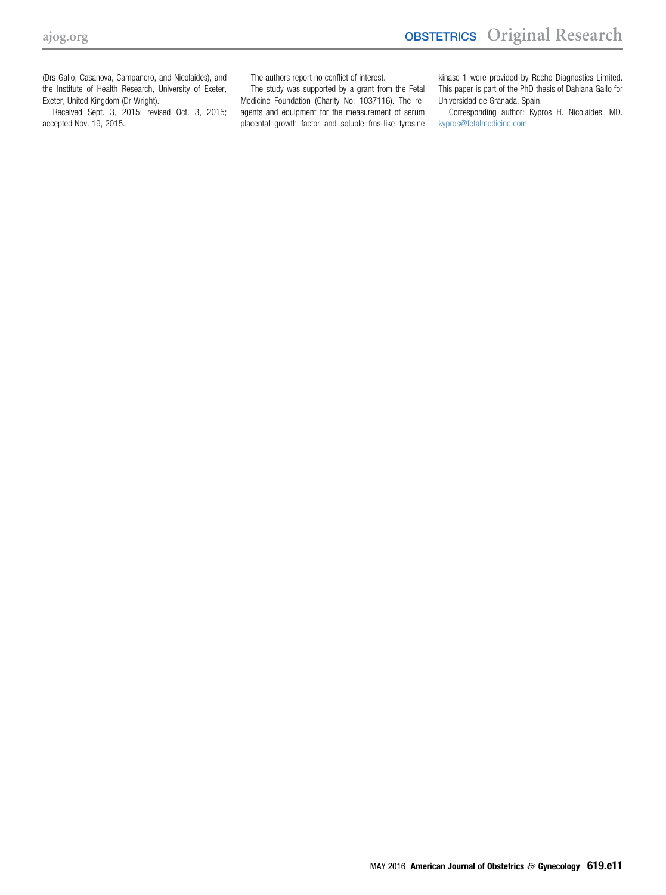(Drs Gallo, Casanova, Campanero, and Nicolaides), and the Institute of Health Research, University of Exeter, Exeter, United Kingdom (Dr Wright).

Received Sept. 3, 2015; revised Oct. 3, 2015; accepted Nov. 19, 2015.

The authors report no conflict of interest.

The study was supported by a grant from the Fetal Medicine Foundation (Charity No: 1037116). The reagents and equipment for the measurement of serum placental growth factor and soluble fms-like tyrosine kinase-1 were provided by Roche Diagnostics Limited. This paper is part of the PhD thesis of Dahiana Gallo for Universidad de Granada, Spain.

Corresponding author: Kypros H. Nicolaides, MD. [kypros@fetalmedicine.com](mailto:kypros@fetalmedicine.com)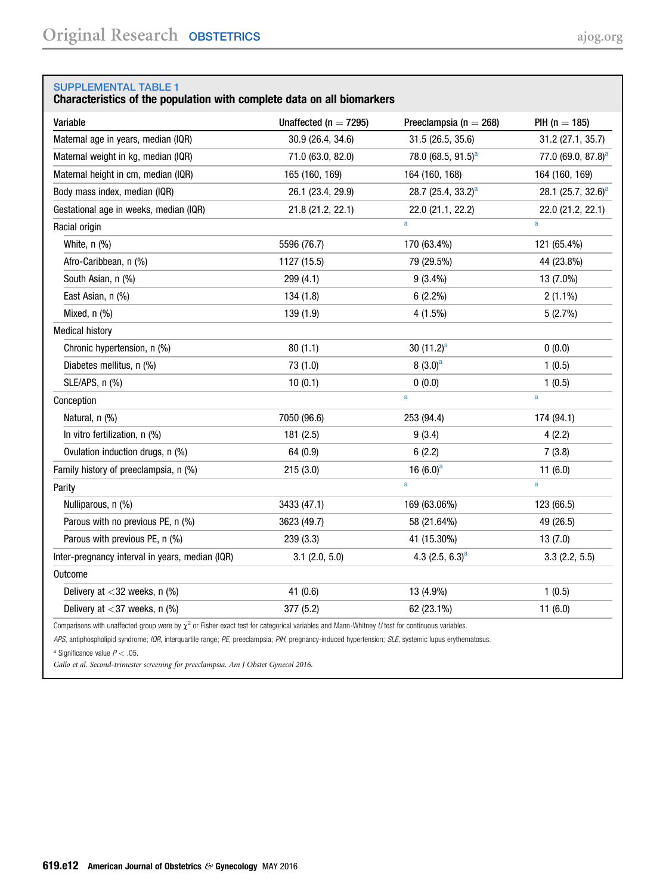# <span id="page-11-0"></span>Characteristics of the population with complete data on all biomarkers

| Variable                                        | Unaffected ( $n = 7295$ ) | Preeclampsia ( $n = 268$ )     | $PH (n = 185)$                 |
|-------------------------------------------------|---------------------------|--------------------------------|--------------------------------|
| Maternal age in years, median (IQR)             | 30.9 (26.4, 34.6)         | 31.5 (26.5, 35.6)              | 31.2 (27.1, 35.7)              |
| Maternal weight in kg, median (IQR)             | 71.0 (63.0, 82.0)         | 78.0 (68.5, 91.5) <sup>a</sup> | 77.0 (69.0, 87.8) <sup>a</sup> |
| Maternal height in cm, median (IQR)             | 165 (160, 169)            | 164 (160, 168)                 | 164 (160, 169)                 |
| Body mass index, median (IQR)                   | 26.1 (23.4, 29.9)         | 28.7 (25.4, 33.2) <sup>a</sup> | 28.1 (25.7, 32.6) <sup>a</sup> |
| Gestational age in weeks, median (IQR)          | 21.8 (21.2, 22.1)         | 22.0 (21.1, 22.2)              | 22.0 (21.2, 22.1)              |
| Racial origin                                   |                           | a                              | $\mathbf{a}$                   |
| White, $n$ $%$                                  | 5596 (76.7)               | 170 (63.4%)                    | 121 (65.4%)                    |
| Afro-Caribbean, n (%)                           | 1127 (15.5)               | 79 (29.5%)                     | 44 (23.8%)                     |
| South Asian, n (%)                              | 299 (4.1)                 | $9(3.4\%)$                     | 13 (7.0%)                      |
| East Asian, n (%)                               | 134 (1.8)                 | $6(2.2\%)$                     | $2(1.1\%)$                     |
| Mixed, n (%)                                    | 139 (1.9)                 | 4(1.5%)                        | 5(2.7%)                        |
| <b>Medical history</b>                          |                           |                                |                                |
| Chronic hypertension, n (%)                     | 80(1.1)                   | 30 $(11.2)^a$                  | 0(0.0)                         |
| Diabetes mellitus, n (%)                        | 73 (1.0)                  | $8(3.0)^a$                     | 1(0.5)                         |
| SLE/APS, n (%)                                  | 10(0.1)                   | 0(0.0)                         | 1(0.5)                         |
| Conception                                      |                           | $\mathbf a$                    | $\mathbf a$                    |
| Natural, n (%)                                  | 7050 (96.6)               | 253 (94.4)                     | 174 (94.1)                     |
| In vitro fertilization, n (%)                   | 181(2.5)                  | 9(3.4)                         | 4(2.2)                         |
| Ovulation induction drugs, n (%)                | 64 (0.9)                  | 6(2.2)                         | 7(3.8)                         |
| Family history of preeclampsia, n (%)           | 215(3.0)                  | 16 $(6.0)^a$                   | 11(6.0)                        |
| Parity                                          |                           | a                              | $\mathbf{a}$                   |
| Nulliparous, n (%)                              | 3433 (47.1)               | 169 (63.06%)                   | 123 (66.5)                     |
| Parous with no previous PE, n (%)               | 3623 (49.7)               | 58 (21.64%)                    | 49 (26.5)                      |
| Parous with previous PE, n (%)                  | 239 (3.3)                 | 41 (15.30%)                    | 13(7.0)                        |
| Inter-pregnancy interval in years, median (IQR) | $3.1$ (2.0, 5.0)          | 4.3 $(2.5, 6.3)^d$             | 3.3(2.2, 5.5)                  |
| Outcome                                         |                           |                                |                                |
| Delivery at $<$ 32 weeks, n (%)                 | 41 $(0.6)$                | 13 (4.9%)                      | 1(0.5)                         |
| Delivery at $<$ 37 weeks, n (%)                 | 377 (5.2)                 | 62 (23.1%)                     | 11(6.0)                        |

Comparisons with unaffected group were by  $\chi^2$  or Fisher exact test for categorical variables and Mann-Whitney U test for continuous variables.

APS, antiphospholipid syndrome; IQR, interquartile range; PE, preeclampsia; PIH, pregnancy-induced hypertension; SLE, systemic lupus erythematosus.

<sup>a</sup> Significance value  $P < .05$ .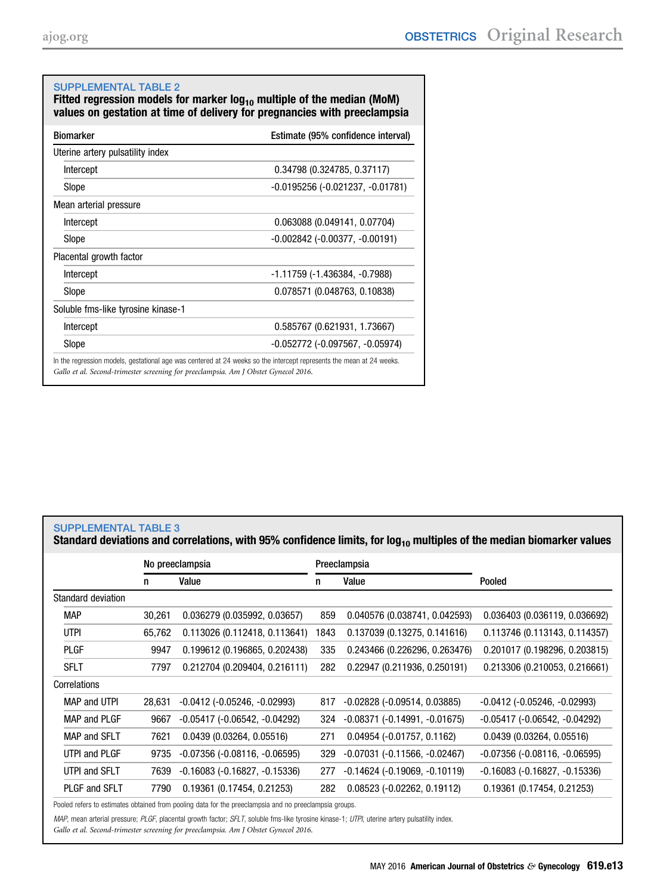<span id="page-12-0"></span>

| <b>SUPPLEMENTAL TABLE 2</b><br>Fitted regression models for marker $log_{10}$ multiple of the median (MoM)<br>values on gestation at time of delivery for pregnancies with preeclampsia |                                                                                                                      |  |  |  |  |  |  |  |  |
|-----------------------------------------------------------------------------------------------------------------------------------------------------------------------------------------|----------------------------------------------------------------------------------------------------------------------|--|--|--|--|--|--|--|--|
| <b>Biomarker</b>                                                                                                                                                                        | Estimate (95% confidence interval)                                                                                   |  |  |  |  |  |  |  |  |
| Uterine artery pulsatility index                                                                                                                                                        |                                                                                                                      |  |  |  |  |  |  |  |  |
| Intercept                                                                                                                                                                               | $0.34798$ (0.324785, 0.37117)                                                                                        |  |  |  |  |  |  |  |  |
| Slope                                                                                                                                                                                   | -0.0195256 (-0.021237, -0.01781)                                                                                     |  |  |  |  |  |  |  |  |
| Mean arterial pressure                                                                                                                                                                  |                                                                                                                      |  |  |  |  |  |  |  |  |
| Intercept                                                                                                                                                                               | 0.063088 (0.049141, 0.07704)                                                                                         |  |  |  |  |  |  |  |  |
| Slope                                                                                                                                                                                   | $-0.002842$ ( $-0.00377$ , $-0.00191$ )                                                                              |  |  |  |  |  |  |  |  |
| Placental growth factor                                                                                                                                                                 |                                                                                                                      |  |  |  |  |  |  |  |  |
| Intercept                                                                                                                                                                               | -1.11759 (-1.436384, -0.7988)                                                                                        |  |  |  |  |  |  |  |  |
| Slope                                                                                                                                                                                   | 0.078571 (0.048763, 0.10838)                                                                                         |  |  |  |  |  |  |  |  |
| Soluble fms-like tyrosine kinase-1                                                                                                                                                      |                                                                                                                      |  |  |  |  |  |  |  |  |
| Intercept                                                                                                                                                                               | 0.585767 (0.621931, 1.73667)                                                                                         |  |  |  |  |  |  |  |  |
| Slope                                                                                                                                                                                   | $-0.052772$ ( $-0.097567$ , $-0.05974$ )                                                                             |  |  |  |  |  |  |  |  |
|                                                                                                                                                                                         | In the regression models, gestational age was centered at 24 weeks so the intercept represents the mean at 24 weeks. |  |  |  |  |  |  |  |  |

Gallo et al. Second-trimester screening for preeclampsia. Am J Obstet Gynecol 2016.

# SUPPLEMENTAL TABLE 3

Standard deviations and correlations, with 95% confidence limits, for log<sub>10</sub> multiples of the median biomarker values

|                     |        | No preeclampsia                        |      | Preeclampsia                           |                                        |  |  |
|---------------------|--------|----------------------------------------|------|----------------------------------------|----------------------------------------|--|--|
|                     | n      | Value                                  | n    | Value                                  | Pooled                                 |  |  |
| Standard deviation  |        |                                        |      |                                        |                                        |  |  |
| <b>MAP</b>          | 30,261 | 0.036279(0.035992, 0.03657)            | 859  | 0.040576 (0.038741, 0.042593)          | 0.036403 (0.036119, 0.036692)          |  |  |
| <b>UTPI</b>         | 65,762 | 0.113026 (0.112418, 0.113641)          | 1843 | 0.137039 (0.13275, 0.141616)           | 0.113746 (0.113143, 0.114357)          |  |  |
| <b>PLGF</b>         | 9947   | 0.199612 (0.196865, 0.202438)          | 335  | 0.243466 (0.226296, 0.263476)          | 0.201017 (0.198296, 0.203815)          |  |  |
| <b>SFLT</b>         | 7797   | 0.212704 (0.209404, 0.216111)          | 282  | 0.22947 (0.211936, 0.250191)           | 0.213306 (0.210053, 0.216661)          |  |  |
| Correlations        |        |                                        |      |                                        |                                        |  |  |
| MAP and UTPI        | 28,631 | $-0.0412$ ( $-0.05246$ , $-0.02993$ )  | 817  | $-0.02828$ ( $-0.09514$ , $0.03885$ )  | $-0.0412$ ( $-0.05246$ , $-0.02993$ )  |  |  |
| MAP and PLGF        | 9667   | $-0.05417$ $(-0.06542, -0.04292)$      | 324  | $-0.08371$ $(-0.14991, -0.01675)$      | $-0.05417$ ( $-0.06542$ , $-0.04292$ ) |  |  |
| <b>MAP and SFLT</b> | 7621   | 0.0439(0.03264, 0.05516)               | 271  | $0.04954$ (-0.01757, 0.1162)           | 0.0439(0.03264, 0.05516)               |  |  |
| UTPI and PLGF       | 9735   | $-0.07356$ ( $-0.08116$ , $-0.06595$ ) | 329  | $-0.07031$ $(-0.11566, -0.02467)$      | $-0.07356$ ( $-0.08116$ , $-0.06595$ ) |  |  |
| UTPI and SFLT       | 7639   | $-0.16083$ $(-0.16827, -0.15336)$      | 277  | $-0.14624$ ( $-0.19069$ , $-0.10119$ ) | $-0.16083$ $(-0.16827, -0.15336)$      |  |  |
| PLGF and SFLT       | 7790   | 0.19361 (0.17454, 0.21253)             | 282  | $0.08523$ (-0.02262, 0.19112)          | 0.19361 (0.17454, 0.21253)             |  |  |

Pooled refers to estimates obtained from pooling data for the preeclampsia and no preeclampsia groups.

MAP, mean arterial pressure; PLGF, placental growth factor; SFLT, soluble fms-like tyrosine kinase-1; UTPI, uterine artery pulsatility index.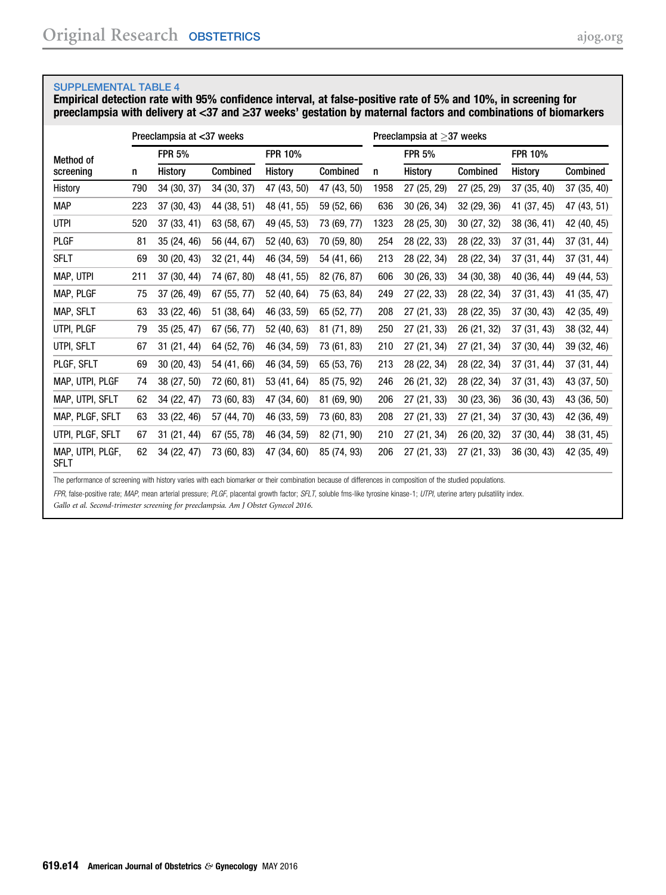<span id="page-13-0"></span>Empirical detection rate with 95% confidence interval, at false-positive rate of 5% and 10%, in screening for preeclampsia with delivery at <37 and  $\geq$ 37 weeks' gestation by maternal factors and combinations of biomarkers

|                                 |              | Preeclampsia at <37 weeks |                 |                |             | Preeclampsia at $\geq$ 37 weeks |               |             |                |             |  |
|---------------------------------|--------------|---------------------------|-----------------|----------------|-------------|---------------------------------|---------------|-------------|----------------|-------------|--|
| Method of                       |              | <b>FPR 5%</b>             |                 | <b>FPR 10%</b> |             |                                 | <b>FPR 5%</b> |             | <b>FPR 10%</b> |             |  |
| screening                       | History<br>n |                           | <b>Combined</b> | History        | Combined    | n                               | History       | Combined    | History        | Combined    |  |
| History                         | 790          | 34 (30, 37)               | 34 (30, 37)     | 47 (43, 50)    | 47 (43, 50) | 1958                            | 27 (25, 29)   | 27 (25, 29) | 37 (35, 40)    | 37 (35, 40) |  |
| <b>MAP</b>                      | 223          | 37 (30, 43)               | 44 (38, 51)     | 48 (41, 55)    | 59 (52, 66) | 636                             | 30 (26, 34)   | 32 (29, 36) | 41 (37, 45)    | 47 (43, 51) |  |
| <b>UTPI</b>                     | 520          | 37 (33, 41)               | 63 (58, 67)     | 49 (45, 53)    | 73 (69, 77) | 1323                            | 28 (25, 30)   | 30 (27, 32) | 38 (36, 41)    | 42 (40, 45) |  |
| <b>PLGF</b>                     | 81           | 35 (24, 46)               | 56 (44, 67)     | 52 (40, 63)    | 70 (59, 80) | 254                             | 28 (22, 33)   | 28 (22, 33) | 37 (31, 44)    | 37 (31, 44) |  |
| <b>SFLT</b>                     | 69           | 30 (20, 43)               | 32 (21, 44)     | 46 (34, 59)    | 54 (41, 66) | 213                             | 28 (22, 34)   | 28 (22, 34) | 37 (31, 44)    | 37(31, 44)  |  |
| MAP, UTPI                       | 211          | 37 (30, 44)               | 74 (67, 80)     | 48 (41, 55)    | 82 (76, 87) | 606                             | 30(26, 33)    | 34 (30, 38) | 40 (36, 44)    | 49 (44, 53) |  |
| MAP, PLGF                       | 75           | 37 (26, 49)               | 67 (55, 77)     | 52 (40, 64)    | 75 (63, 84) | 249                             | 27 (22, 33)   | 28 (22, 34) | 37 (31, 43)    | 41 (35, 47) |  |
| MAP, SFLT                       | 63           | 33 (22, 46)               | 51 (38, 64)     | 46 (33, 59)    | 65 (52, 77) | 208                             | 27 (21, 33)   | 28 (22, 35) | 37 (30, 43)    | 42 (35, 49) |  |
| UTPI, PLGF                      | 79           | 35 (25, 47)               | 67 (56, 77)     | 52 (40, 63)    | 81 (71, 89) | 250                             | 27 (21, 33)   | 26 (21, 32) | 37 (31, 43)    | 38 (32, 44) |  |
| UTPI, SFLT                      | 67           | 31 (21, 44)               | 64 (52, 76)     | 46 (34, 59)    | 73 (61, 83) | 210                             | 27 (21, 34)   | 27 (21, 34) | 37 (30, 44)    | 39 (32, 46) |  |
| PLGF, SFLT                      | 69           | 30 (20, 43)               | 54 (41, 66)     | 46 (34, 59)    | 65 (53, 76) | 213                             | 28 (22, 34)   | 28 (22, 34) | 37 (31, 44)    | 37 (31, 44) |  |
| MAP, UTPI, PLGF                 | 74           | 38 (27, 50)               | 72 (60, 81)     | 53 (41, 64)    | 85 (75, 92) | 246                             | 26 (21, 32)   | 28 (22, 34) | 37 (31, 43)    | 43 (37, 50) |  |
| MAP, UTPI, SFLT                 | 62           | 34 (22, 47)               | 73 (60, 83)     | 47 (34, 60)    | 81 (69, 90) | 206                             | 27 (21, 33)   | 30 (23, 36) | 36 (30, 43)    | 43 (36, 50) |  |
| MAP, PLGF, SFLT                 | 63           | 33 (22, 46)               | 57 (44, 70)     | 46 (33, 59)    | 73 (60, 83) | 208                             | 27 (21, 33)   | 27 (21, 34) | 37 (30, 43)    | 42 (36, 49) |  |
| UTPI, PLGF, SFLT                | 67           | 31 (21, 44)               | 67 (55, 78)     | 46 (34, 59)    | 82 (71, 90) | 210                             | 27 (21, 34)   | 26 (20, 32) | 37 (30, 44)    | 38 (31, 45) |  |
| MAP, UTPI, PLGF,<br><b>SFLT</b> | 62           | 34 (22, 47)               | 73 (60, 83)     | 47 (34, 60)    | 85 (74, 93) | 206                             | 27 (21, 33)   | 27 (21, 33) | 36 (30, 43)    | 42 (35, 49) |  |

The performance of screening with history varies with each biomarker or their combination because of differences in composition of the studied populations.

FPR, false-positive rate; MAP, mean arterial pressure; PLGF, placental growth factor; SFLT, soluble fms-like tyrosine kinase-1; UTPI, uterine artery pulsatility index.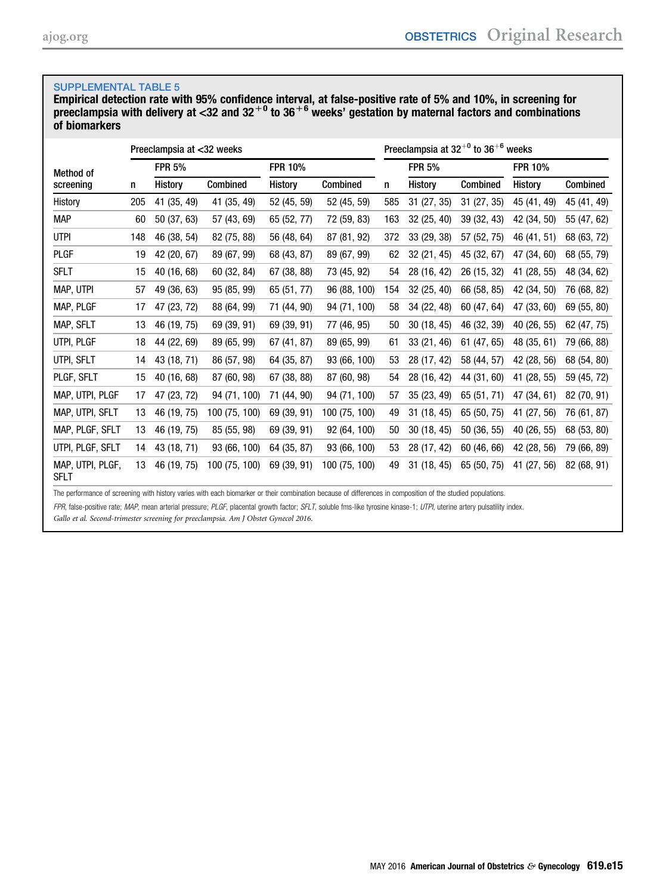Empirical detection rate with 95% confidence interval, at false-positive rate of 5% and 10%, in screening for preeclampsia with delivery at <32 and 32 $^{\mathrm {+0}}$  to 36 $^{\mathrm {+6}}$  weeks' gestation by maternal factors and combinations of biomarkers

|                                 |     | Preeclampsia at <32 weeks |               |             | Preeclampsia at $32^{+0}$ to $36^{+6}$ weeks |     |               |             |                |             |
|---------------------------------|-----|---------------------------|---------------|-------------|----------------------------------------------|-----|---------------|-------------|----------------|-------------|
| <b>Method of</b>                |     | <b>FPR 5%</b>             |               |             |                                              |     | <b>FPR 5%</b> |             | <b>FPR 10%</b> |             |
| screening                       | n   | History                   | Combined      | History     | Combined                                     | n   | History       | Combined    | History        | Combined    |
| History                         | 205 | 41 (35, 49)               | 41 (35, 49)   | 52 (45, 59) | 52 (45, 59)                                  | 585 | 31 (27, 35)   | 31 (27, 35) | 45 (41, 49)    | 45 (41, 49) |
| <b>MAP</b>                      | 60  | 50 (37, 63)               | 57 (43, 69)   | 65 (52, 77) | 72 (59, 83)                                  | 163 | 32 (25, 40)   | 39 (32, 43) | 42 (34, 50)    | 55 (47, 62) |
| <b>UTPI</b>                     | 148 | 46 (38, 54)               | 82 (75, 88)   | 56 (48, 64) | 87 (81, 92)                                  | 372 | 33 (29, 38)   | 57 (52, 75) | 46 (41, 51)    | 68 (63, 72) |
| PLGF                            | 19  | 42 (20, 67)               | 89 (67, 99)   | 68 (43, 87) | 89 (67, 99)                                  | 62  | 32 (21, 45)   | 45 (32, 67) | 47 (34, 60)    | 68 (55, 79) |
| <b>SFLT</b>                     | 15  | 40 (16, 68)               | 60 (32, 84)   | 67 (38, 88) | 73 (45, 92)                                  | 54  | 28 (16, 42)   | 26 (15, 32) | 41 (28, 55)    | 48 (34, 62) |
| MAP, UTPI                       | 57  | 49 (36, 63)               | 95 (85, 99)   | 65 (51, 77) | 96 (88, 100)                                 | 154 | 32(25, 40)    | 66 (58, 85) | 42 (34, 50)    | 76 (68, 82) |
| MAP, PLGF                       | 17  | 47 (23, 72)               | 88 (64, 99)   | 71 (44, 90) | 94 (71, 100)                                 | 58  | 34 (22, 48)   | 60 (47, 64) | 47 (33, 60)    | 69 (55, 80) |
| MAP, SFLT                       | 13  | 46 (19, 75)               | 69 (39, 91)   | 69 (39, 91) | 77 (46, 95)                                  | 50  | 30(18, 45)    | 46 (32, 39) | 40 (26, 55)    | 62 (47, 75) |
| UTPI, PLGF                      | 18  | 44 (22, 69)               | 89 (65, 99)   | 67 (41, 87) | 89 (65, 99)                                  | 61  | 33 (21, 46)   | 61 (47, 65) | 48 (35, 61)    | 79 (66, 88) |
| UTPI, SFLT                      | 14  | 43 (18, 71)               | 86 (57, 98)   | 64 (35, 87) | 93 (66, 100)                                 | 53  | 28 (17, 42)   | 58 (44, 57) | 42 (28, 56)    | 68 (54, 80) |
| PLGF, SFLT                      | 15  | 40 (16, 68)               | 87 (60, 98)   | 67 (38, 88) | 87 (60, 98)                                  | 54  | 28 (16, 42)   | 44 (31, 60) | 41 (28, 55)    | 59 (45, 72) |
| MAP, UTPI, PLGF                 | 17  | 47 (23, 72)               | 94 (71, 100)  | 71 (44, 90) | 94 (71, 100)                                 | 57  | 35(23, 49)    | 65 (51, 71) | 47 (34, 61)    | 82 (70, 91) |
| MAP, UTPI, SFLT                 | 13  | 46 (19, 75)               | 100 (75, 100) | 69 (39, 91) | 100 (75, 100)                                | 49  | 31(18, 45)    | 65 (50, 75) | 41 (27, 56)    | 76 (61, 87) |
| MAP, PLGF, SFLT                 | 13  | 46 (19, 75)               | 85 (55, 98)   | 69 (39, 91) | 92 (64, 100)                                 | 50  | 30(18, 45)    | 50 (36, 55) | 40 (26, 55)    | 68 (53, 80) |
| UTPI, PLGF, SFLT                | 14  | 43 (18, 71)               | 93 (66, 100)  | 64 (35, 87) | 93 (66, 100)                                 | 53  | 28 (17, 42)   | 60 (46, 66) | 42 (28, 56)    | 79 (66, 89) |
| MAP, UTPI, PLGF,<br><b>SFLT</b> | 13  | 46 (19, 75)               | 100 (75, 100) | 69 (39, 91) | 100 (75, 100)                                | 49  | 31(18, 45)    | 65 (50, 75) | 41 (27, 56)    | 82 (68, 91) |

The performance of screening with history varies with each biomarker or their combination because of differences in composition of the studied populations.

FPR, false-positive rate; MAP, mean arterial pressure; PLGF, placental growth factor; SFLT, soluble fms-like tyrosine kinase-1; UTPI, uterine artery pulsatility index.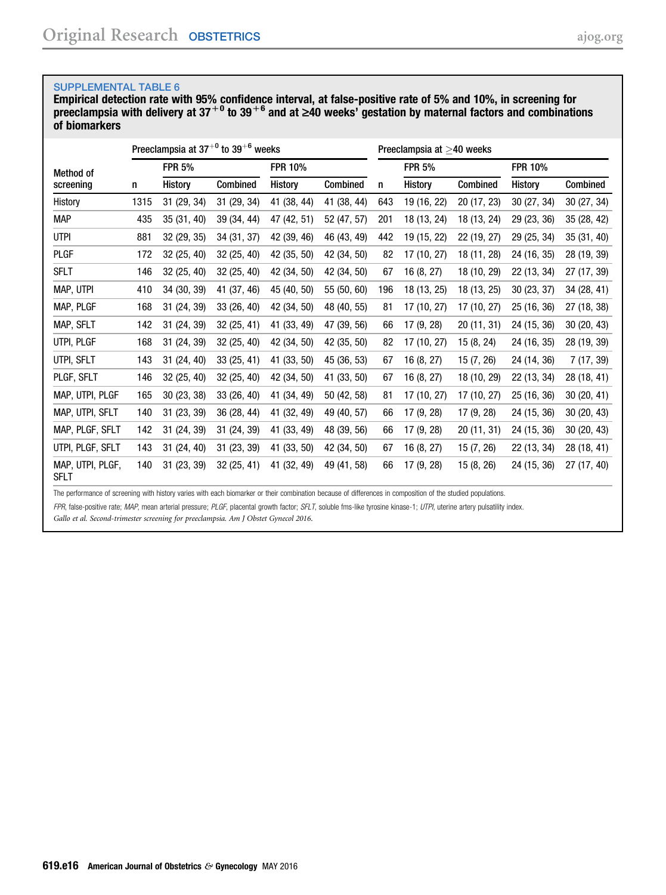Empirical detection rate with 95% confidence interval, at false-positive rate of 5% and 10%, in screening for preeclampsia with delivery at 37 $^{+0}$  to 39 $^{+6}$  and at  $\geq$ 40 weeks' gestation by maternal factors and combinations of biomarkers

|                                 |      | Preeclampsia at $37^{+0}$ to $39^{+6}$ weeks |             |                |             | Preeclampsia at $>40$ weeks |                |             |                |             |  |
|---------------------------------|------|----------------------------------------------|-------------|----------------|-------------|-----------------------------|----------------|-------------|----------------|-------------|--|
| <b>Method of</b>                |      | <b>FPR 5%</b>                                |             | <b>FPR 10%</b> |             |                             | <b>FPR 5%</b>  |             | <b>FPR 10%</b> |             |  |
| screening                       | n    | History                                      | Combined    | History        | Combined    | n                           | <b>History</b> | Combined    | History        | Combined    |  |
| History                         | 1315 | 31 (29, 34)                                  | 31 (29, 34) | 41 (38, 44)    | 41 (38, 44) | 643                         | 19 (16, 22)    | 20 (17, 23) | 30 (27, 34)    | 30(27, 34)  |  |
| <b>MAP</b>                      | 435  | 35(31, 40)                                   | 39 (34, 44) | 47 (42, 51)    | 52 (47, 57) | 201                         | 18 (13, 24)    | 18 (13, 24) | 29 (23, 36)    | 35 (28, 42) |  |
| <b>UTPI</b>                     | 881  | 32 (29, 35)                                  | 34 (31, 37) | 42 (39, 46)    | 46 (43, 49) | 442                         | 19 (15, 22)    | 22 (19, 27) | 29 (25, 34)    | 35 (31, 40) |  |
| PLGF                            | 172  | 32 (25, 40)                                  | 32 (25, 40) | 42 (35, 50)    | 42 (34, 50) | 82                          | 17 (10, 27)    | 18 (11, 28) | 24 (16, 35)    | 28 (19, 39) |  |
| <b>SFLT</b>                     | 146  | 32 (25, 40)                                  | 32 (25, 40) | 42 (34, 50)    | 42 (34, 50) | 67                          | 16 (8, 27)     | 18 (10, 29) | 22 (13, 34)    | 27 (17, 39) |  |
| MAP, UTPI                       | 410  | 34 (30, 39)                                  | 41 (37, 46) | 45 (40, 50)    | 55 (50, 60) | 196                         | 18 (13, 25)    | 18 (13, 25) | 30 (23, 37)    | 34 (28, 41) |  |
| MAP, PLGF                       | 168  | 31 (24, 39)                                  | 33 (26, 40) | 42 (34, 50)    | 48 (40, 55) | 81                          | 17 (10, 27)    | 17 (10, 27) | 25 (16, 36)    | 27 (18, 38) |  |
| MAP, SFLT                       | 142  | 31(24, 39)                                   | 32 (25, 41) | 41 (33, 49)    | 47 (39, 56) | 66                          | 17 (9, 28)     | 20 (11, 31) | 24 (15, 36)    | 30 (20, 43) |  |
| UTPI, PLGF                      | 168  | 31 (24, 39)                                  | 32 (25, 40) | 42 (34, 50)    | 42 (35, 50) | 82                          | 17 (10, 27)    | 15 (8, 24)  | 24 (16, 35)    | 28 (19, 39) |  |
| UTPI, SFLT                      | 143  | 31 (24, 40)                                  | 33 (25, 41) | 41 (33, 50)    | 45 (36, 53) | 67                          | 16 (8, 27)     | 15 (7, 26)  | 24 (14, 36)    | 7 (17, 39)  |  |
| PLGF, SFLT                      | 146  | 32 (25, 40)                                  | 32 (25, 40) | 42 (34, 50)    | 41 (33, 50) | 67                          | 16(8, 27)      | 18 (10, 29) | 22 (13, 34)    | 28 (18, 41) |  |
| MAP, UTPI, PLGF                 | 165  | 30(23, 38)                                   | 33 (26, 40) | 41 (34, 49)    | 50 (42, 58) | 81                          | 17 (10, 27)    | 17 (10, 27) | 25 (16, 36)    | 30(20, 41)  |  |
| MAP, UTPI, SFLT                 | 140  | 31 (23, 39)                                  | 36 (28, 44) | 41 (32, 49)    | 49 (40, 57) | 66                          | 17 (9, 28)     | 17 (9, 28)  | 24 (15, 36)    | 30(20, 43)  |  |
| MAP, PLGF, SFLT                 | 142  | 31 (24, 39)                                  | 31 (24, 39) | 41 (33, 49)    | 48 (39, 56) | 66                          | 17 (9, 28)     | 20 (11, 31) | 24 (15, 36)    | 30(20, 43)  |  |
| UTPI, PLGF, SFLT                | 143  | 31 (24, 40)                                  | 31 (23, 39) | 41 (33, 50)    | 42 (34, 50) | 67                          | 16 (8, 27)     | 15 (7, 26)  | 22 (13, 34)    | 28 (18, 41) |  |
| MAP, UTPI, PLGF,<br><b>SFLT</b> | 140  | 31(23, 39)                                   | 32 (25, 41) | 41 (32, 49)    | 49 (41, 58) | 66                          | 17 (9, 28)     | 15 (8, 26)  | 24 (15, 36)    | 27 (17, 40) |  |

The performance of screening with history varies with each biomarker or their combination because of differences in composition of the studied populations.

FPR, false-positive rate; MAP, mean arterial pressure; PLGF, placental growth factor; SFLT, soluble fms-like tyrosine kinase-1; UTPI, uterine artery pulsatility index.